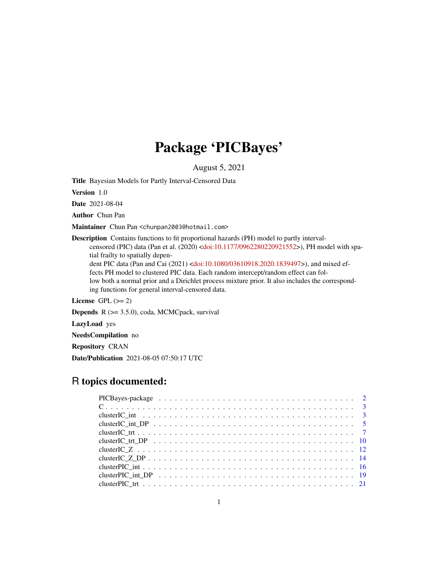# Package 'PICBayes'

August 5, 2021

<span id="page-0-0"></span>Title Bayesian Models for Partly Interval-Censored Data

Version 1.0

Date 2021-08-04

Author Chun Pan

Maintainer Chun Pan <chunpan2003@hotmail.com>

Description Contains functions to fit proportional hazards (PH) model to partly intervalcensored (PIC) data (Pan et al. (2020) [<doi:10.1177/0962280220921552>](https://doi.org/10.1177/0962280220921552)), PH model with spatial frailty to spatially depen-

dent PIC data (Pan and Cai (2021) [<doi:10.1080/03610918.2020.1839497>](https://doi.org/10.1080/03610918.2020.1839497)), and mixed effects PH model to clustered PIC data. Each random intercept/random effect can fol-

low both a normal prior and a Dirichlet process mixture prior. It also includes the corresponding functions for general interval-censored data.

License GPL  $(>= 2)$ 

Depends R (>= 3.5.0), coda, MCMCpack, survival

LazyLoad yes

NeedsCompilation no

Repository CRAN

Date/Publication 2021-08-05 07:50:17 UTC

# R topics documented: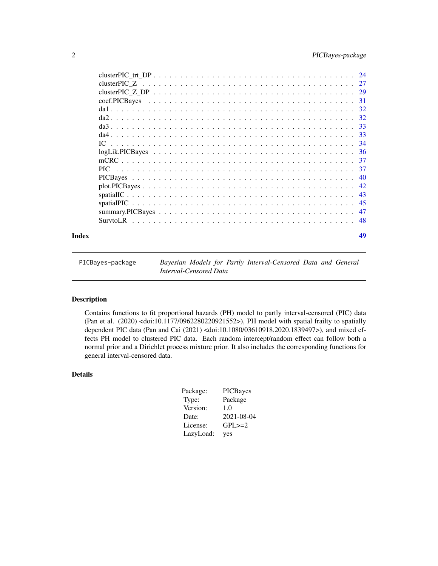<span id="page-1-0"></span>

| Index | 49 |
|-------|----|

| PICBayes-package | Bayesian Models for Partly Interval-Censored Data and General |  |  |
|------------------|---------------------------------------------------------------|--|--|
|                  | Interval-Censored Data                                        |  |  |

# Description

Contains functions to fit proportional hazards (PH) model to partly interval-censored (PIC) data (Pan et al. (2020) <doi:10.1177/0962280220921552>), PH model with spatial frailty to spatially dependent PIC data (Pan and Cai (2021) <doi:10.1080/03610918.2020.1839497>), and mixed effects PH model to clustered PIC data. Each random intercept/random effect can follow both a normal prior and a Dirichlet process mixture prior. It also includes the corresponding functions for general interval-censored data.

# Details

| Package:  | <b>PICBayes</b> |
|-----------|-----------------|
| Type:     | Package         |
| Version:  | 1.0             |
| Date:     | 2021-08-04      |
| License:  | $GPL \geq = 2$  |
| LazyLoad: | yes             |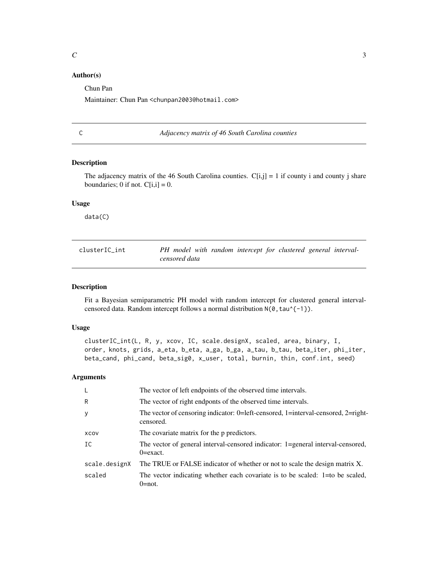# <span id="page-2-0"></span>Author(s)

Chun Pan

Maintainer: Chun Pan <chunpan2003@hotmail.com>

C *Adjacency matrix of 46 South Carolina counties*

#### Description

The adjacency matrix of the 46 South Carolina counties.  $C[i,j] = 1$  if county i and county j share boundaries; 0 if not.  $C[i,i] = 0$ .

#### Usage

data(C)

| clusterIC int | PH model with random intercept for clustered general interval- |  |  |  |
|---------------|----------------------------------------------------------------|--|--|--|
|               | censored data                                                  |  |  |  |

# Description

Fit a Bayesian semiparametric PH model with random intercept for clustered general intervalcensored data. Random intercept follows a normal distribution  $N(0, \tan^{-1}(-1))$ .

#### Usage

```
clusterIC_int(L, R, y, xcov, IC, scale.designX, scaled, area, binary, I,
order, knots, grids, a_eta, b_eta, a_ga, b_ga, a_tau, b_tau, beta_iter, phi_iter,
beta_cand, phi_cand, beta_sig0, x_user, total, burnin, thin, conf.int, seed)
```

| L             | The vector of left endpoints of the observed time intervals.                                    |
|---------------|-------------------------------------------------------------------------------------------------|
| R             | The vector of right endponts of the observed time intervals.                                    |
| y             | The vector of censoring indicator: 0=left-censored, 1=interval-censored, 2=right-<br>censored.  |
| XCOV          | The covariate matrix for the p predictors.                                                      |
| IC            | The vector of general interval-censored indicator: 1=general interval-censored,<br>$0 = exact.$ |
| scale.designX | The TRUE or FALSE indicator of whether or not to scale the design matrix X.                     |
| scaled        | The vector indicating whether each covariate is to be scaled: $1=$ to be scaled,<br>$0 = not.$  |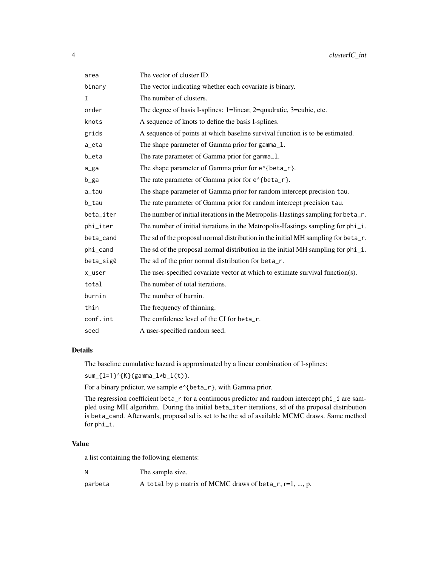| area      | The vector of cluster ID.                                                         |
|-----------|-----------------------------------------------------------------------------------|
| binary    | The vector indicating whether each covariate is binary.                           |
| I         | The number of clusters.                                                           |
| order     | The degree of basis I-splines: 1=linear, 2=quadratic, 3=cubic, etc.               |
| knots     | A sequence of knots to define the basis I-splines.                                |
| grids     | A sequence of points at which baseline survival function is to be estimated.      |
| a_eta     | The shape parameter of Gamma prior for gamma_1.                                   |
| b_eta     | The rate parameter of Gamma prior for gamma_1.                                    |
| a_ga      | The shape parameter of Gamma prior for e^{beta_r}.                                |
| b_ga      | The rate parameter of Gamma prior for e^{beta_r}.                                 |
| a_tau     | The shape parameter of Gamma prior for random intercept precision tau.            |
| b_tau     | The rate parameter of Gamma prior for random intercept precision tau.             |
| beta_iter | The number of initial iterations in the Metropolis-Hastings sampling for beta_r.  |
| phi_iter  | The number of initial iterations in the Metropolis-Hastings sampling for phi_i.   |
| beta_cand | The sd of the proposal normal distribution in the initial MH sampling for beta_r. |
| phi_cand  | The sd of the proposal normal distribution in the initial MH sampling for phi_i.  |
| beta_sig0 | The sd of the prior normal distribution for beta_r.                               |
| x_user    | The user-specified covariate vector at which to estimate survival function(s).    |
| total     | The number of total iterations.                                                   |
| burnin    | The number of burnin.                                                             |
| thin      | The frequency of thinning.                                                        |
| conf.int  | The confidence level of the CI for beta_r.                                        |
| seed      | A user-specified random seed.                                                     |

The baseline cumulative hazard is approximated by a linear combination of I-splines:

 $sum_{1=1}^{n}$  sum<sub>-</sub>{l=1}^{K}(gamma\_l\*b\_l(t)).

For a binary prdictor, we sample e^{beta\_r}, with Gamma prior.

The regression coefficient beta\_r for a continuous predictor and random intercept phi\_i are sampled using MH algorithm. During the initial beta\_iter iterations, sd of the proposal distribution is beta\_cand. Afterwards, proposal sd is set to be the sd of available MCMC draws. Same method for phi\_i.

# Value

a list containing the following elements:

N The sample size.

parbeta  $A$  total by p matrix of MCMC draws of beta\_r, r=1, ..., p.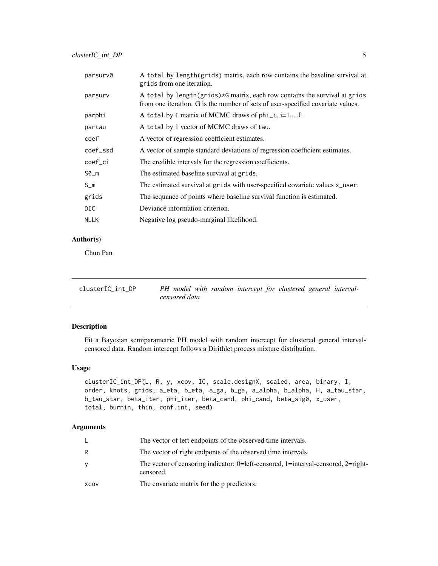<span id="page-4-0"></span>

| parsurv0    | A total by length(grids) matrix, each row contains the baseline survival at<br>grids from one iteration.                                                      |
|-------------|---------------------------------------------------------------------------------------------------------------------------------------------------------------|
| parsurv     | A total by length(grids)*G matrix, each row contains the survival at grids<br>from one iteration. G is the number of sets of user-specified covariate values. |
| parphi      | A total by I matrix of MCMC draws of $phi_i$ , i=1,,I.                                                                                                        |
| partau      | A total by 1 vector of MCMC draws of tau.                                                                                                                     |
| coef        | A vector of regression coefficient estimates.                                                                                                                 |
| coef_ssd    | A vector of sample standard deviations of regression coefficient estimates.                                                                                   |
| coef_ci     | The credible intervals for the regression coefficients.                                                                                                       |
| $SØ_m$      | The estimated baseline survival at grids.                                                                                                                     |
| $S_m$       | The estimated survival at grids with user-specified covariate values x_user.                                                                                  |
| grids       | The sequance of points where baseline survival function is estimated.                                                                                         |
| DIC.        | Deviance information criterion.                                                                                                                               |
| <b>NLLK</b> | Negative log pseudo-marginal likelihood.                                                                                                                      |
|             |                                                                                                                                                               |

# Author(s)

Chun Pan

| clusterIC int DP |               |  |  | PH model with random intercept for clustered general interval- |  |
|------------------|---------------|--|--|----------------------------------------------------------------|--|
|                  | censored data |  |  |                                                                |  |

# Description

Fit a Bayesian semiparametric PH model with random intercept for clustered general intervalcensored data. Random intercept follows a Dirithlet process mixture distribution.

# Usage

```
clusterIC_int_DP(L, R, y, xcov, IC, scale.designX, scaled, area, binary, I,
order, knots, grids, a_eta, b_eta, a_ga, b_ga, a_alpha, b_alpha, H, a_tau_star,
b_tau_star, beta_iter, phi_iter, beta_cand, phi_cand, beta_sig0, x_user,
total, burnin, thin, conf.int, seed)
```

|      | The vector of left endpoints of the observed time intervals.                                   |
|------|------------------------------------------------------------------------------------------------|
| R.   | The vector of right endponts of the observed time intervals.                                   |
| y    | The vector of censoring indicator: 0=left-censored, 1=interval-censored, 2=right-<br>censored. |
| XCOV | The covariate matrix for the p predictors.                                                     |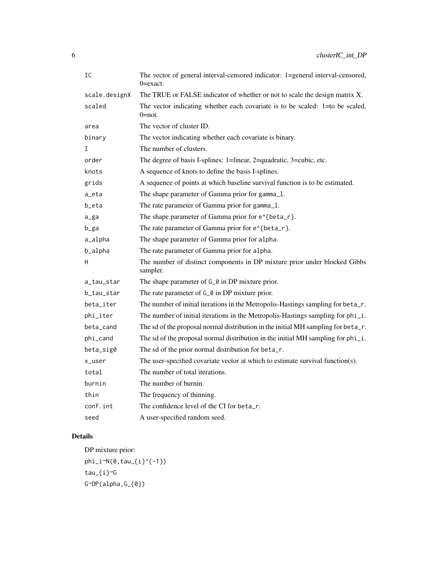| IC            | The vector of general interval-censored indicator: 1=general interval-censored,<br>0=exact. |
|---------------|---------------------------------------------------------------------------------------------|
| scale.designX | The TRUE or FALSE indicator of whether or not to scale the design matrix X.                 |
| scaled        | The vector indicating whether each covariate is to be scaled: 1=to be scaled,<br>$0=$ not.  |
| area          | The vector of cluster ID.                                                                   |
| binary        | The vector indicating whether each covariate is binary.                                     |
| I             | The number of clusters.                                                                     |
| order         | The degree of basis I-splines: 1=linear, 2=quadratic, 3=cubic, etc.                         |
| knots         | A sequence of knots to define the basis I-splines.                                          |
| grids         | A sequence of points at which baseline survival function is to be estimated.                |
| a_eta         | The shape parameter of Gamma prior for gamma_1.                                             |
| b_eta         | The rate parameter of Gamma prior for gamma_1.                                              |
| a_ga          | The shape parameter of Gamma prior for e^{beta_r}.                                          |
| b_ga          | The rate parameter of Gamma prior for e^{beta_r}.                                           |
| a_alpha       | The shape parameter of Gamma prior for alpha.                                               |
| b_alpha       | The rate parameter of Gamma prior for alpha.                                                |
| H             | The number of distinct components in DP mixture prior under blocked Gibbs<br>sampler.       |
| a_tau_star    | The shape parameter of G <sub></sub> $\theta$ in DP mixture prior.                          |
| b_tau_star    | The rate parameter of G_0 in DP mixture prior.                                              |
| beta_iter     | The number of initial iterations in the Metropolis-Hastings sampling for beta_r.            |
| phi_iter      | The number of initial iterations in the Metropolis-Hastings sampling for phi_i.             |
| beta_cand     | The sd of the proposal normal distribution in the initial MH sampling for beta_r.           |
| phi_cand      | The sd of the proposal normal distribution in the initial MH sampling for phi_i.            |
| beta_sig0     | The sd of the prior normal distribution for beta_r.                                         |
| x_user        | The user-specified covariate vector at which to estimate survival function(s).              |
| total         | The number of total iterations.                                                             |
| burnin        | The number of burnin.                                                                       |
| thin          | The frequency of thinning.                                                                  |
| conf.int      | The confidence level of the CI for beta_r.                                                  |
| seed          | A user-specified random seed.                                                               |

DP mixture prior:  $phi_i^N(0,tau_{1})^{(-1)})$ tau\_{i}~G G~DP(alpha,G\_{0})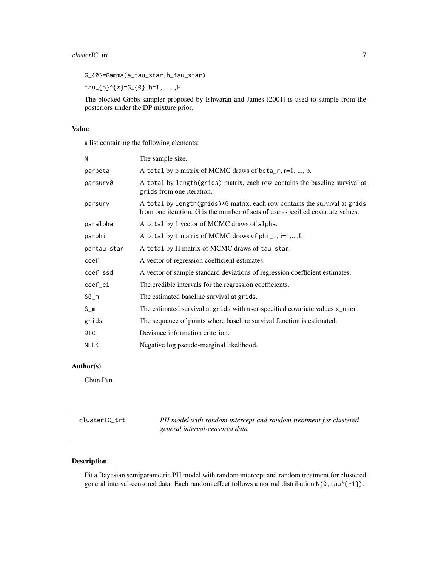<span id="page-6-0"></span>G\_{0}=Gamma(a\_tau\_star,b\_tau\_star)

tau\_{h}^{\*}~G\_{0},h=1,...,H

The blocked Gibbs sampler proposed by Ishwaran and James (2001) is used to sample from the posteriors under the DP mixture prior.

#### Value

a list containing the following elements:

| N           | The sample size.                                                                                                                                              |
|-------------|---------------------------------------------------------------------------------------------------------------------------------------------------------------|
| parbeta     | A total by p matrix of MCMC draws of beta_r, $r=1, , p$ .                                                                                                     |
| parsurv0    | A total by length (grids) matrix, each row contains the baseline survival at<br>grids from one iteration.                                                     |
| parsurv     | A total by length(grids)*G matrix, each row contains the survival at grids<br>from one iteration. G is the number of sets of user-specified covariate values. |
| paralpha    | A total by 1 vector of MCMC draws of alpha.                                                                                                                   |
| parphi      | A total by I matrix of MCMC draws of $phi_i$ , i=1,,I.                                                                                                        |
| partau_star | A total by H matrix of MCMC draws of tau_star.                                                                                                                |
| coef        | A vector of regression coefficient estimates.                                                                                                                 |
| coef_ssd    | A vector of sample standard deviations of regression coefficient estimates.                                                                                   |
| coef_ci     | The credible intervals for the regression coefficients.                                                                                                       |
| $SØ_m$      | The estimated baseline survival at grids.                                                                                                                     |
| $S_m$       | The estimated survival at grids with user-specified covariate values x_user.                                                                                  |
| grids       | The sequance of points where baseline survival function is estimated.                                                                                         |
| DIC         | Deviance information criterion.                                                                                                                               |
| <b>NLLK</b> | Negative log pseudo-marginal likelihood.                                                                                                                      |

# Author(s)

Chun Pan

| clusterIC trt | PH model with random intercept and random treatment for clustered |
|---------------|-------------------------------------------------------------------|
|               | general interval-censored data                                    |

# Description

Fit a Bayesian semiparametric PH model with random intercept and random treatment for clustered general interval-censored data. Each random effect follows a normal distribution N(0, tau^{-1}).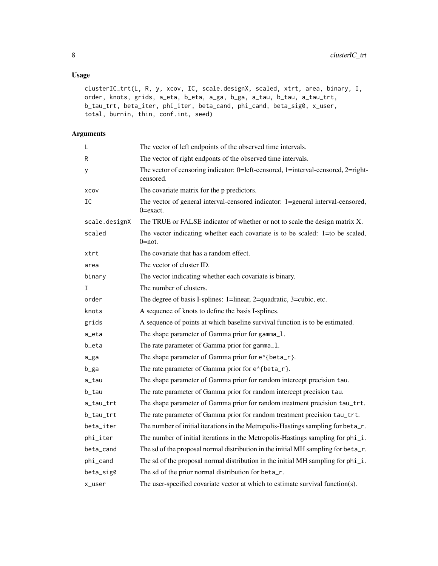# Usage

```
clusterIC_trt(L, R, y, xcov, IC, scale.designX, scaled, xtrt, area, binary, I,
order, knots, grids, a_eta, b_eta, a_ga, b_ga, a_tau, b_tau, a_tau_trt,
b_tau_trt, beta_iter, phi_iter, beta_cand, phi_cand, beta_sig0, x_user,
total, burnin, thin, conf.int, seed)
```

| L             | The vector of left endpoints of the observed time intervals.                                    |
|---------------|-------------------------------------------------------------------------------------------------|
| R             | The vector of right endponts of the observed time intervals.                                    |
| у             | The vector of censoring indicator: 0=left-censored, 1=interval-censored, 2=right-<br>censored.  |
| XCOV          | The covariate matrix for the p predictors.                                                      |
| IC            | The vector of general interval-censored indicator: 1=general interval-censored,<br>$0 = exact.$ |
| scale.designX | The TRUE or FALSE indicator of whether or not to scale the design matrix X.                     |
| scaled        | The vector indicating whether each covariate is to be scaled: 1=to be scaled,<br>$0=$ not.      |
| xtrt          | The covariate that has a random effect.                                                         |
| area          | The vector of cluster ID.                                                                       |
| binary        | The vector indicating whether each covariate is binary.                                         |
| Ι             | The number of clusters.                                                                         |
| order         | The degree of basis I-splines: 1=linear, 2=quadratic, 3=cubic, etc.                             |
| knots         | A sequence of knots to define the basis I-splines.                                              |
| grids         | A sequence of points at which baseline survival function is to be estimated.                    |
| a_eta         | The shape parameter of Gamma prior for gamma_1.                                                 |
| b_eta         | The rate parameter of Gamma prior for gamma_1.                                                  |
| a_ga          | The shape parameter of Gamma prior for e^{beta_r}.                                              |
| b_ga          | The rate parameter of Gamma prior for e^{beta_r}.                                               |
| a_tau         | The shape parameter of Gamma prior for random intercept precision tau.                          |
| b_tau         | The rate parameter of Gamma prior for random intercept precision tau.                           |
| a_tau_trt     | The shape parameter of Gamma prior for random treatment precision tau_trt.                      |
| b_tau_trt     | The rate parameter of Gamma prior for random treatment precision tau_trt.                       |
| beta_iter     | The number of initial iterations in the Metropolis-Hastings sampling for beta_r.                |
| phi_iter      | The number of initial iterations in the Metropolis-Hastings sampling for phi_i.                 |
| beta_cand     | The sd of the proposal normal distribution in the initial MH sampling for beta_r.               |
| phi_cand      | The sd of the proposal normal distribution in the initial MH sampling for phi_i.                |
| beta_sig0     | The sd of the prior normal distribution for beta_r.                                             |
| x_user        | The user-specified covariate vector at which to estimate survival function(s).                  |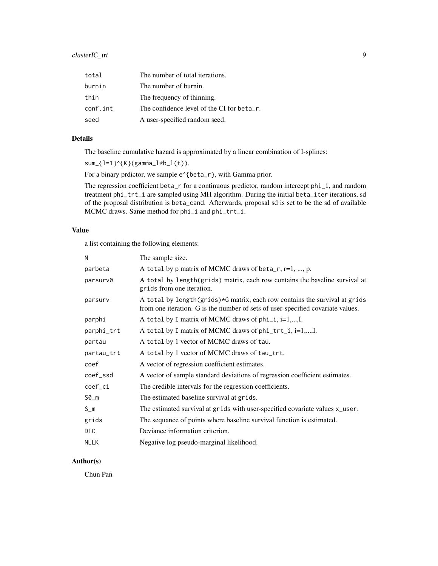# clusterIC\_trt 9

| total    | The number of total iterations.            |
|----------|--------------------------------------------|
| burnin   | The number of burnin.                      |
| thin     | The frequency of thinning.                 |
| conf.int | The confidence level of the CI for beta_r. |
| seed     | A user-specified random seed.              |

# Details

The baseline cumulative hazard is approximated by a linear combination of I-splines:

```
sum_{1=1}^{n} sum<sub>-</sub>{l=1}^{K}(gamma_l*b_l(t)).
```
For a binary prdictor, we sample e^{beta\_r}, with Gamma prior.

The regression coefficient beta\_r for a continuous predictor, random intercept phi\_i, and random treatment phi\_trt\_i are sampled using MH algorithm. During the initial beta\_iter iterations, sd of the proposal distribution is beta\_cand. Afterwards, proposal sd is set to be the sd of available MCMC draws. Same method for phi\_i and phi\_trt\_i.

#### Value

a list containing the following elements:

| The sample size.                                                                                                                                              |
|---------------------------------------------------------------------------------------------------------------------------------------------------------------|
| A total by p matrix of MCMC draws of beta_r, $r=1, , p$ .                                                                                                     |
| A total by length(grids) matrix, each row contains the baseline survival at<br>grids from one iteration.                                                      |
| A total by length(grids)*G matrix, each row contains the survival at grids<br>from one iteration. G is the number of sets of user-specified covariate values. |
| A total by I matrix of MCMC draws of $phi_i$ , i=1,,I.                                                                                                        |
| A total by I matrix of MCMC draws of phi_trt_i, i=1,,I.                                                                                                       |
| A total by 1 vector of MCMC draws of tau.                                                                                                                     |
| A total by 1 vector of MCMC draws of tau_trt.                                                                                                                 |
| A vector of regression coefficient estimates.                                                                                                                 |
| A vector of sample standard deviations of regression coefficient estimates.                                                                                   |
| The credible intervals for the regression coefficients.                                                                                                       |
| The estimated baseline survival at grids.                                                                                                                     |
| The estimated survival at grids with user-specified covariate values x_user.                                                                                  |
| The sequance of points where baseline survival function is estimated.                                                                                         |
| Deviance information criterion.                                                                                                                               |
| Negative log pseudo-marginal likelihood.                                                                                                                      |
|                                                                                                                                                               |

# Author(s)

Chun Pan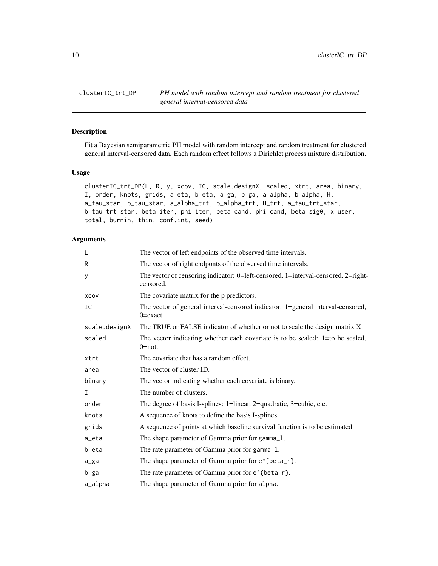<span id="page-9-0"></span>clusterIC\_trt\_DP *PH model with random intercept and random treatment for clustered general interval-censored data*

#### Description

Fit a Bayesian semiparametric PH model with random intercept and random treatment for clustered general interval-censored data. Each random effect follows a Dirichlet process mixture distribution.

#### Usage

```
clusterIC_trt_DP(L, R, y, xcov, IC, scale.designX, scaled, xtrt, area, binary,
I, order, knots, grids, a_eta, b_eta, a_ga, b_ga, a_alpha, b_alpha, H,
a_tau_star, b_tau_star, a_alpha_trt, b_alpha_trt, H_trt, a_tau_trt_star,
b_tau_trt_star, beta_iter, phi_iter, beta_cand, phi_cand, beta_sig0, x_user,
total, burnin, thin, conf.int, seed)
```

| L             | The vector of left endpoints of the observed time intervals.                                    |
|---------------|-------------------------------------------------------------------------------------------------|
| R             | The vector of right endponts of the observed time intervals.                                    |
| у             | The vector of censoring indicator: 0=left-censored, 1=interval-censored, 2=right-<br>censored.  |
| XCOV          | The covariate matrix for the p predictors.                                                      |
| IC            | The vector of general interval-censored indicator: 1=general interval-censored,<br>$0 = exact.$ |
| scale.designX | The TRUE or FALSE indicator of whether or not to scale the design matrix X.                     |
| scaled        | The vector indicating whether each covariate is to be scaled: $1=$ to be scaled,<br>$0 = not.$  |
| xtrt          | The covariate that has a random effect.                                                         |
| area          | The vector of cluster ID.                                                                       |
| binary        | The vector indicating whether each covariate is binary.                                         |
| I             | The number of clusters.                                                                         |
| order         | The degree of basis I-splines: 1=linear, 2=quadratic, 3=cubic, etc.                             |
| knots         | A sequence of knots to define the basis I-splines.                                              |
| grids         | A sequence of points at which baseline survival function is to be estimated.                    |
| a_eta         | The shape parameter of Gamma prior for gamma_1.                                                 |
| b_eta         | The rate parameter of Gamma prior for gamma_1.                                                  |
| a_ga          | The shape parameter of Gamma prior for e <sup><math>\lambda</math></sup> {beta_r}.              |
| b_ga          | The rate parameter of Gamma prior for e^{beta_r}.                                               |
| a_alpha       | The shape parameter of Gamma prior for alpha.                                                   |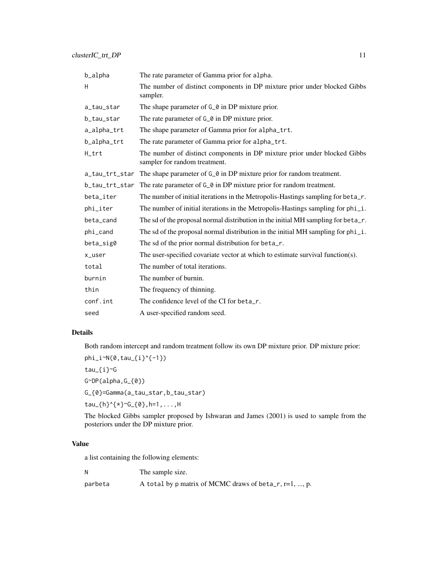| b_alpha        | The rate parameter of Gamma prior for alpha.                                                               |  |
|----------------|------------------------------------------------------------------------------------------------------------|--|
| H              | The number of distinct components in DP mixture prior under blocked Gibbs<br>sampler.                      |  |
| a_tau_star     | The shape parameter of G_0 in DP mixture prior.                                                            |  |
| b_tau_star     | The rate parameter of G <sub></sub> $\theta$ in DP mixture prior.                                          |  |
| a_alpha_trt    | The shape parameter of Gamma prior for alpha_trt.                                                          |  |
| b_alpha_trt    | The rate parameter of Gamma prior for alpha_trt.                                                           |  |
| H_trt          | The number of distinct components in DP mixture prior under blocked Gibbs<br>sampler for random treatment. |  |
| a_tau_trt_star | The shape parameter of $G_0$ in DP mixture prior for random treatment.                                     |  |
| b_tau_trt_star | The rate parameter of $G_0$ in DP mixture prior for random treatment.                                      |  |
| beta_iter      | The number of initial iterations in the Metropolis-Hastings sampling for beta_r.                           |  |
| phi_iter       | The number of initial iterations in the Metropolis-Hastings sampling for phi_i.                            |  |
| beta cand      | The sd of the proposal normal distribution in the initial MH sampling for beta_r.                          |  |
| phi_cand       | The sd of the proposal normal distribution in the initial MH sampling for phi_i.                           |  |
| beta_sig0      | The sd of the prior normal distribution for beta_r.                                                        |  |
| x_user         | The user-specified covariate vector at which to estimate survival function(s).                             |  |
| total          | The number of total iterations.                                                                            |  |
| burnin         | The number of burnin.                                                                                      |  |
| thin           | The frequency of thinning.                                                                                 |  |
| conf.int       | The confidence level of the CI for beta_r.                                                                 |  |
| seed           | A user-specified random seed.                                                                              |  |

Both random intercept and random treatment follow its own DP mixture prior. DP mixture prior:

phi\_i~N(0,tau\_{i}^{-1})

tau\_{i}~G

G~DP(alpha,G\_{0})

G\_{0}=Gamma(a\_tau\_star,b\_tau\_star)

tau\_{h}^{\*}~G\_{0},h=1,...,H

The blocked Gibbs sampler proposed by Ishwaran and James (2001) is used to sample from the posteriors under the DP mixture prior.

# Value

a list containing the following elements:

N The sample size. parbeta  $A$  total by p matrix of MCMC draws of beta\_r, r=1, ..., p.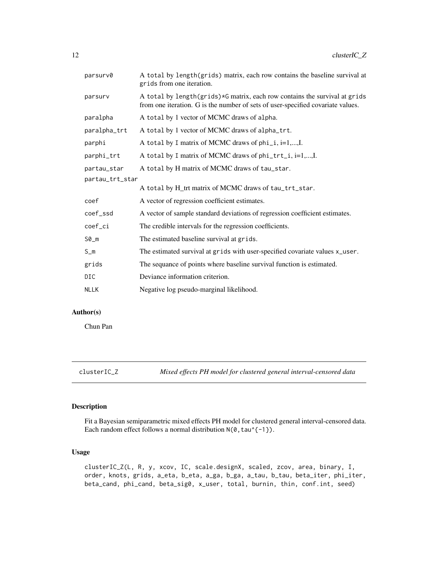<span id="page-11-0"></span>

| parsurv0        | A total by length(grids) matrix, each row contains the baseline survival at<br>grids from one iteration.                                                      |  |
|-----------------|---------------------------------------------------------------------------------------------------------------------------------------------------------------|--|
| parsurv         | A total by length(grids)*G matrix, each row contains the survival at grids<br>from one iteration. G is the number of sets of user-specified covariate values. |  |
| paralpha        | A total by 1 vector of MCMC draws of alpha.                                                                                                                   |  |
| paralpha_trt    | A total by 1 vector of MCMC draws of alpha_trt.                                                                                                               |  |
| parphi          | A total by I matrix of MCMC draws of phi_i, i=1,,I.                                                                                                           |  |
| parphi_trt      | A total by I matrix of MCMC draws of phi_trt_i, i=1,,I.                                                                                                       |  |
| partau_star     | A total by H matrix of MCMC draws of tau_star.                                                                                                                |  |
| partau_trt_star |                                                                                                                                                               |  |
|                 | A total by H_trt matrix of MCMC draws of tau_trt_star.                                                                                                        |  |
| coef            | A vector of regression coefficient estimates.                                                                                                                 |  |
| coef_ssd        | A vector of sample standard deviations of regression coefficient estimates.                                                                                   |  |
| coef_ci         | The credible intervals for the regression coefficients.                                                                                                       |  |
| $SØ_m$          | The estimated baseline survival at grids.                                                                                                                     |  |
| $S_m$           | The estimated survival at grids with user-specified covariate values x_user.                                                                                  |  |
| grids           | The sequance of points where baseline survival function is estimated.                                                                                         |  |
| DIC             | Deviance information criterion.                                                                                                                               |  |
| <b>NLLK</b>     | Negative log pseudo-marginal likelihood.                                                                                                                      |  |

# Author(s)

Chun Pan

clusterIC\_Z *Mixed effects PH model for clustered general interval-censored data*

#### Description

Fit a Bayesian semiparametric mixed effects PH model for clustered general interval-censored data. Each random effect follows a normal distribution  $N(0, \tan^{-1})$ .

# Usage

clusterIC\_Z(L, R, y, xcov, IC, scale.designX, scaled, zcov, area, binary, I, order, knots, grids, a\_eta, b\_eta, a\_ga, b\_ga, a\_tau, b\_tau, beta\_iter, phi\_iter, beta\_cand, phi\_cand, beta\_sig0, x\_user, total, burnin, thin, conf.int, seed)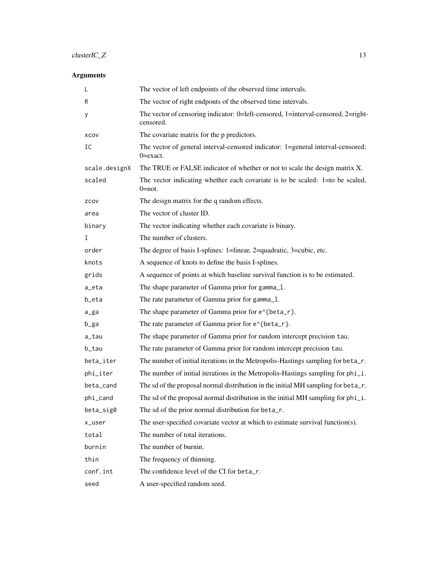# clusterIC\_Z 13

| L             | The vector of left endpoints of the observed time intervals.                                    |
|---------------|-------------------------------------------------------------------------------------------------|
| R             | The vector of right endponts of the observed time intervals.                                    |
| У             | The vector of censoring indicator: 0=left-censored, 1=interval-censored, 2=right-<br>censored.  |
| XCOV          | The covariate matrix for the p predictors.                                                      |
| IC            | The vector of general interval-censored indicator: 1=general interval-censored;<br>$0 = exact.$ |
| scale.designX | The TRUE or FALSE indicator of whether or not to scale the design matrix X.                     |
| scaled        | The vector indicating whether each covariate is to be scaled: 1=to be scaled,<br>$0 = not.$     |
| ZCOV          | The design matrix for the q random effects.                                                     |
| area          | The vector of cluster ID.                                                                       |
| binary        | The vector indicating whether each covariate is binary.                                         |
| I             | The number of clusters.                                                                         |
| order         | The degree of basis I-splines: 1=linear, 2=quadratic, 3=cubic, etc.                             |
| knots         | A sequence of knots to define the basis I-splines.                                              |
| grids         | A sequence of points at which baseline survival function is to be estimated.                    |
| a_eta         | The shape parameter of Gamma prior for gamma_1.                                                 |
| b_eta         | The rate parameter of Gamma prior for gamma_1.                                                  |
| a_ga          | The shape parameter of Gamma prior for e^{beta_r}.                                              |
| b_ga          | The rate parameter of Gamma prior for e^{beta_r}.                                               |
| a_tau         | The shape parameter of Gamma prior for random intercept precision tau.                          |
| b_tau         | The rate parameter of Gamma prior for random intercept precision tau.                           |
| beta_iter     | The number of initial iterations in the Metropolis-Hastings sampling for beta_r.                |
| phi_iter      | The number of initial iterations in the Metropolis-Hastings sampling for phi_i.                 |
| beta_cand     | The sd of the proposal normal distribution in the initial MH sampling for beta_r.               |
| phi_cand      | The sd of the proposal normal distribution in the initial MH sampling for phi_i.                |
| beta_sig0     | The sd of the prior normal distribution for beta_r.                                             |
| x_user        | The user-specified covariate vector at which to estimate survival function(s).                  |
| total         | The number of total iterations.                                                                 |
| burnin        | The number of burnin.                                                                           |
| thin          | The frequency of thinning.                                                                      |
| conf.int      | The confidence level of the CI for beta_r.                                                      |
| seed          | A user-specified random seed.                                                                   |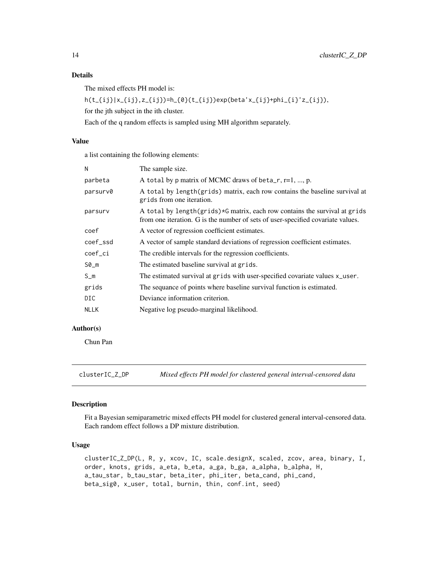The mixed effects PH model is:

```
h(t_{ij}|x_{ij},z_{ij})=h_{0}(t_{ij})exp(beta'x_{ij}+phi_{i}'z_{ij}),
```
for the jth subject in the ith cluster.

Each of the q random effects is sampled using MH algorithm separately.

# Value

a list containing the following elements:

| N           | The sample size.                                                                                                                                              |
|-------------|---------------------------------------------------------------------------------------------------------------------------------------------------------------|
| parbeta     | A total by p matrix of MCMC draws of beta_r, $r=1$ , , p.                                                                                                     |
| parsurv0    | A total by length(grids) matrix, each row contains the baseline survival at<br>grids from one iteration.                                                      |
| parsurv     | A total by length(grids)*G matrix, each row contains the survival at grids<br>from one iteration. G is the number of sets of user-specified covariate values. |
| coef        | A vector of regression coefficient estimates.                                                                                                                 |
| coef_ssd    | A vector of sample standard deviations of regression coefficient estimates.                                                                                   |
| coef_ci     | The credible intervals for the regression coefficients.                                                                                                       |
| $SØ_m$      | The estimated baseline survival at grids.                                                                                                                     |
| $S_m$       | The estimated survival at grids with user-specified covariate values x_user.                                                                                  |
| grids       | The sequance of points where baseline survival function is estimated.                                                                                         |
| DIC.        | Deviance information criterion.                                                                                                                               |
| <b>NLLK</b> | Negative log pseudo-marginal likelihood.                                                                                                                      |
|             |                                                                                                                                                               |

# Author(s)

Chun Pan

clusterIC\_Z\_DP *Mixed effects PH model for clustered general interval-censored data*

#### Description

Fit a Bayesian semiparametric mixed effects PH model for clustered general interval-censored data. Each random effect follows a DP mixture distribution.

#### Usage

```
clusterIC_Z_DP(L, R, y, xcov, IC, scale.designX, scaled, zcov, area, binary, I,
order, knots, grids, a_eta, b_eta, a_ga, b_ga, a_alpha, b_alpha, H,
a_tau_star, b_tau_star, beta_iter, phi_iter, beta_cand, phi_cand,
beta_sig0, x_user, total, burnin, thin, conf.int, seed)
```
<span id="page-13-0"></span>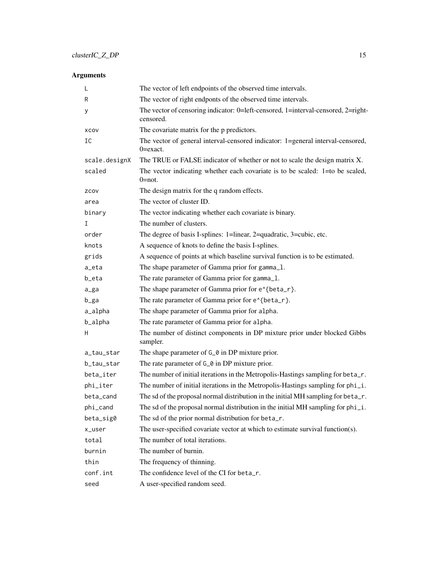| L             | The vector of left endpoints of the observed time intervals.                                    |
|---------------|-------------------------------------------------------------------------------------------------|
| R             | The vector of right endponts of the observed time intervals.                                    |
| у             | The vector of censoring indicator: 0=left-censored, 1=interval-censored, 2=right-<br>censored.  |
| XCOV          | The covariate matrix for the p predictors.                                                      |
| IC            | The vector of general interval-censored indicator: 1=general interval-censored,<br>$0 = exact.$ |
| scale.designX | The TRUE or FALSE indicator of whether or not to scale the design matrix X.                     |
| scaled        | The vector indicating whether each covariate is to be scaled: $1=$ to be scaled,<br>$0 = not.$  |
| ZCOV          | The design matrix for the q random effects.                                                     |
| area          | The vector of cluster ID.                                                                       |
| binary        | The vector indicating whether each covariate is binary.                                         |
| I.            | The number of clusters.                                                                         |
| order         | The degree of basis I-splines: 1=linear, 2=quadratic, 3=cubic, etc.                             |
| knots         | A sequence of knots to define the basis I-splines.                                              |
| grids         | A sequence of points at which baseline survival function is to be estimated.                    |
| a_eta         | The shape parameter of Gamma prior for gamma_1.                                                 |
| b_eta         | The rate parameter of Gamma prior for gamma_1.                                                  |
| a_ga          | The shape parameter of Gamma prior for e^{beta_r}.                                              |
| b_ga          | The rate parameter of Gamma prior for e^{beta_r}.                                               |
| a_alpha       | The shape parameter of Gamma prior for alpha.                                                   |
| b_alpha       | The rate parameter of Gamma prior for alpha.                                                    |
| H             | The number of distinct components in DP mixture prior under blocked Gibbs<br>sampler.           |
| a_tau_star    | The shape parameter of G_0 in DP mixture prior.                                                 |
| b_tau_star    | The rate parameter of G <sub></sub> o in DP mixture prior.                                      |
| beta_iter     | The number of initial iterations in the Metropolis-Hastings sampling for beta_r.                |
| phi_iter      | The number of initial iterations in the Metropolis-Hastings sampling for phi_i.                 |
| beta_cand     | The sd of the proposal normal distribution in the initial MH sampling for beta_r.               |
| phi_cand      | The sd of the proposal normal distribution in the initial MH sampling for phi_i.                |
| beta_sig0     | The sd of the prior normal distribution for beta_r.                                             |
| x_user        | The user-specified covariate vector at which to estimate survival function(s).                  |
| total         | The number of total iterations.                                                                 |
| burnin        | The number of burnin.                                                                           |
| thin          | The frequency of thinning.                                                                      |
| conf.int      | The confidence level of the CI for beta_r.                                                      |
| seed          | A user-specified random seed.                                                                   |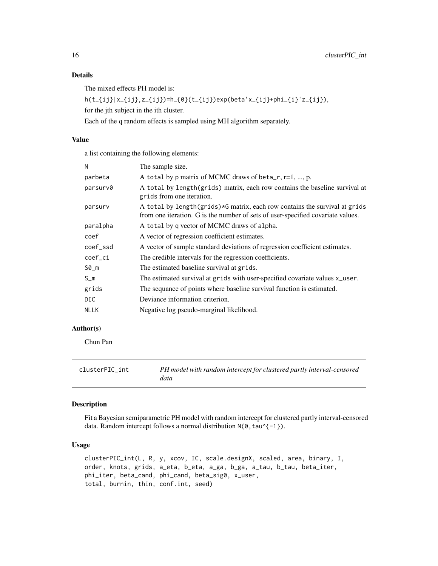The mixed effects PH model is:

h(t\_{ij}|x\_{ij},z\_{ij})=h\_{0}(t\_{ij})exp(beta'x\_{ij}+phi\_{i}'z\_{ij}),

for the jth subject in the ith cluster.

Each of the q random effects is sampled using MH algorithm separately.

#### Value

a list containing the following elements:

| N           | The sample size.                                                                                                                                              |
|-------------|---------------------------------------------------------------------------------------------------------------------------------------------------------------|
| parbeta     | A total by p matrix of MCMC draws of beta_r, $r=1$ , , p.                                                                                                     |
| parsurv0    | A total by length(grids) matrix, each row contains the baseline survival at<br>grids from one iteration.                                                      |
| parsury     | A total by length(grids)*G matrix, each row contains the survival at grids<br>from one iteration. G is the number of sets of user-specified covariate values. |
| paralpha    | A total by q vector of MCMC draws of alpha.                                                                                                                   |
| coef        | A vector of regression coefficient estimates.                                                                                                                 |
| coef_ssd    | A vector of sample standard deviations of regression coefficient estimates.                                                                                   |
| coef_ci     | The credible intervals for the regression coefficients.                                                                                                       |
| $SØ_m$      | The estimated baseline survival at grids.                                                                                                                     |
| $S_m$       | The estimated survival at grids with user-specified covariate values x_user.                                                                                  |
| grids       | The sequance of points where baseline survival function is estimated.                                                                                         |
| DIC.        | Deviance information criterion.                                                                                                                               |
| <b>NLLK</b> | Negative log pseudo-marginal likelihood.                                                                                                                      |
|             |                                                                                                                                                               |

# Author(s)

Chun Pan

| clusterPIC int | PH model with random intercept for clustered partly interval-censored |
|----------------|-----------------------------------------------------------------------|
|                | data                                                                  |

# Description

Fit a Bayesian semiparametric PH model with random intercept for clustered partly interval-censored data. Random intercept follows a normal distribution  $N(0, \tau a u^{\lambda}(-1))$ .

# Usage

```
clusterPIC_int(L, R, y, xcov, IC, scale.designX, scaled, area, binary, I,
order, knots, grids, a_eta, b_eta, a_ga, b_ga, a_tau, b_tau, beta_iter,
phi_iter, beta_cand, phi_cand, beta_sig0, x_user,
total, burnin, thin, conf.int, seed)
```
<span id="page-15-0"></span>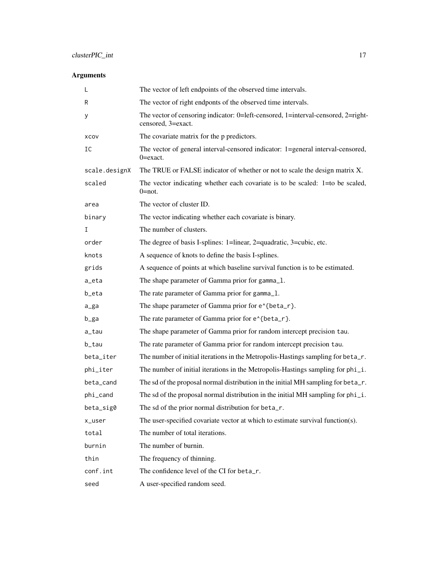| L             | The vector of left endpoints of the observed time intervals.                                            |
|---------------|---------------------------------------------------------------------------------------------------------|
| R             | The vector of right endponts of the observed time intervals.                                            |
| у             | The vector of censoring indicator: 0=left-censored, 1=interval-censored, 2=right-<br>censored, 3=exact. |
| XCOV          | The covariate matrix for the p predictors.                                                              |
| IC            | The vector of general interval-censored indicator: 1=general interval-censored,<br>$0 = exact.$         |
| scale.designX | The TRUE or FALSE indicator of whether or not to scale the design matrix X.                             |
| scaled        | The vector indicating whether each covariate is to be scaled: 1=to be scaled,<br>$0 = not.$             |
| area          | The vector of cluster ID.                                                                               |
| binary        | The vector indicating whether each covariate is binary.                                                 |
| I             | The number of clusters.                                                                                 |
| order         | The degree of basis I-splines: 1=linear, 2=quadratic, 3=cubic, etc.                                     |
| knots         | A sequence of knots to define the basis I-splines.                                                      |
| grids         | A sequence of points at which baseline survival function is to be estimated.                            |
| a_eta         | The shape parameter of Gamma prior for gamma_1.                                                         |
| b_eta         | The rate parameter of Gamma prior for gamma_1.                                                          |
| a_ga          | The shape parameter of Gamma prior for e <sup><math>\lambda</math></sup> {beta_r}.                      |
| b_ga          | The rate parameter of Gamma prior for e^{beta_r}.                                                       |
| a_tau         | The shape parameter of Gamma prior for random intercept precision tau.                                  |
| b_tau         | The rate parameter of Gamma prior for random intercept precision tau.                                   |
| beta_iter     | The number of initial iterations in the Metropolis-Hastings sampling for beta_r.                        |
| phi_iter      | The number of initial iterations in the Metropolis-Hastings sampling for phi_i.                         |
| beta_cand     | The sd of the proposal normal distribution in the initial MH sampling for beta_r.                       |
| phi_cand      | The sd of the proposal normal distribution in the initial MH sampling for phi_i.                        |
| beta_sig0     | The sd of the prior normal distribution for beta_r.                                                     |
| x_user        | The user-specified covariate vector at which to estimate survival function(s).                          |
| total         | The number of total iterations.                                                                         |
| burnin        | The number of burnin.                                                                                   |
| thin          | The frequency of thinning.                                                                              |
| conf.int      | The confidence level of the CI for beta_r.                                                              |
| seed          | A user-specified random seed.                                                                           |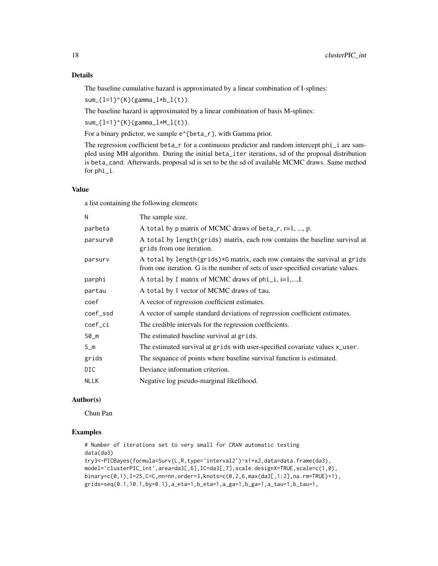The baseline cumulative hazard is approximated by a linear combination of I-splines:

 $sum_{1=1}^{n}^{1}$  (K}(gamma\_l\*b\_l(t)).

The baseline hazard is approximated by a linear combination of basis M-splines:

 $sum_{1=1}^{n}$  = 1 } ^{K}(gamma\_l\*M\_l(t)).

For a binary prdictor, we sample  $e^{\lambda}$  {beta\_r}, with Gamma prior.

The regression coefficient beta\_r for a continuous predictor and random intercept phi\_i are sampled using MH algorithm. During the initial beta\_iter iterations, sd of the proposal distribution is beta\_cand. Afterwards, proposal sd is set to be the sd of available MCMC draws. Same method for phi\_i.

#### Value

a list containing the following elements:

| N           | The sample size.                                                                                                                                              |
|-------------|---------------------------------------------------------------------------------------------------------------------------------------------------------------|
| parbeta     | A total by p matrix of MCMC draws of beta_r, $r=1, , p$ .                                                                                                     |
| parsurv0    | A total by length(grids) matrix, each row contains the baseline survival at<br>grids from one iteration.                                                      |
| parsurv     | A total by length(grids)*G matrix, each row contains the survival at grids<br>from one iteration. G is the number of sets of user-specified covariate values. |
| parphi      | A total by I matrix of MCMC draws of $phi_i$ , i=1,,I.                                                                                                        |
| partau      | A total by 1 vector of MCMC draws of tau.                                                                                                                     |
| coef        | A vector of regression coefficient estimates.                                                                                                                 |
| coef_ssd    | A vector of sample standard deviations of regression coefficient estimates.                                                                                   |
| coef_ci     | The credible intervals for the regression coefficients.                                                                                                       |
| S0_m        | The estimated baseline survival at grids.                                                                                                                     |
| $S_m$       | The estimated survival at grids with user-specified covariate values x_user.                                                                                  |
| grids       | The sequance of points where baseline survival function is estimated.                                                                                         |
| DIC.        | Deviance information criterion.                                                                                                                               |
| <b>NLLK</b> | Negative log pseudo-marginal likelihood.                                                                                                                      |
|             |                                                                                                                                                               |

#### Author(s)

Chun Pan

#### Examples

```
# Number of iterations set to very small for CRAN automatic testing
data(da3)
try3<-PICBayes(formula=Surv(L,R,type='interval2')~x1+x2,data=data.frame(da3),
model='clusterPIC_int',area=da3[,6],IC=da3[,7],scale.designX=TRUE,scale=c(1,0),
binary=c(0,1),I=25,C=C,nn=nn,order=3,knots=c(0,2,6,max(da3[,1:2],na.rm=TRUE)+1),
grids=seq(0.1,10.1,by=0.1),a_eta=1,b_eta=1,a_ga=1,b_ga=1,a_tau=1,b_tau=1,
```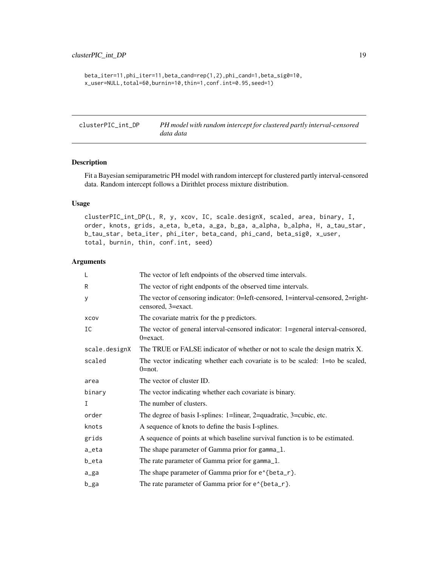```
beta_iter=11,phi_iter=11,beta_cand=rep(1,2),phi_cand=1,beta_sig0=10,
x_user=NULL,total=60,burnin=10,thin=1,conf.int=0.95,seed=1)
```
clusterPIC\_int\_DP *PH model with random intercept for clustered partly interval-censored data data*

#### Description

Fit a Bayesian semiparametric PH model with random intercept for clustered partly interval-censored data. Random intercept follows a Dirithlet process mixture distribution.

#### Usage

clusterPIC\_int\_DP(L, R, y, xcov, IC, scale.designX, scaled, area, binary, I, order, knots, grids, a\_eta, b\_eta, a\_ga, b\_ga, a\_alpha, b\_alpha, H, a\_tau\_star, b\_tau\_star, beta\_iter, phi\_iter, beta\_cand, phi\_cand, beta\_sig0, x\_user, total, burnin, thin, conf.int, seed)

| L             | The vector of left endpoints of the observed time intervals.                                            |
|---------------|---------------------------------------------------------------------------------------------------------|
| R             | The vector of right endponts of the observed time intervals.                                            |
| У             | The vector of censoring indicator: 0=left-censored, 1=interval-censored, 2=right-<br>censored, 3=exact. |
| XCOV          | The covariate matrix for the p predictors.                                                              |
| IC            | The vector of general interval-censored indicator: 1=general interval-censored,<br>$0 = exact.$         |
| scale.designX | The TRUE or FALSE indicator of whether or not to scale the design matrix X.                             |
| scaled        | The vector indicating whether each covariate is to be scaled: $1=$ to be scaled,<br>$0 = not.$          |
| area          | The vector of cluster ID.                                                                               |
| binary        | The vector indicating whether each covariate is binary.                                                 |
| I             | The number of clusters.                                                                                 |
| order         | The degree of basis I-splines: 1=linear, 2=quadratic, 3=cubic, etc.                                     |
| knots         | A sequence of knots to define the basis I-splines.                                                      |
| grids         | A sequence of points at which baseline survival function is to be estimated.                            |
| a_eta         | The shape parameter of Gamma prior for gamma_1.                                                         |
| b_eta         | The rate parameter of Gamma prior for gamma_1.                                                          |
| a_ga          | The shape parameter of Gamma prior for e <sup><math>\lambda</math></sup> {beta_r}.                      |
| b_ga          | The rate parameter of Gamma prior for e^{beta_r}.                                                       |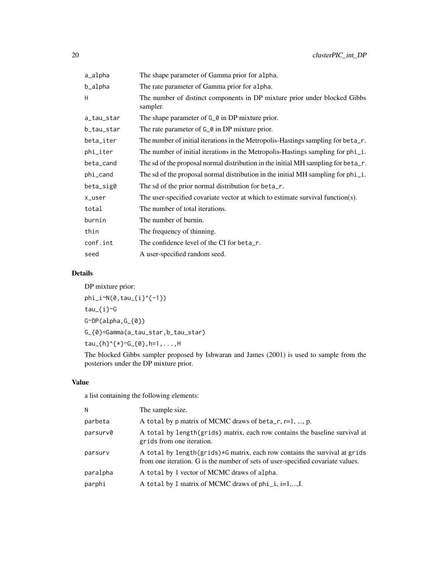| a_alpha    | The shape parameter of Gamma prior for alpha.                                         |
|------------|---------------------------------------------------------------------------------------|
| b_alpha    | The rate parameter of Gamma prior for alpha.                                          |
| H          | The number of distinct components in DP mixture prior under blocked Gibbs<br>sampler. |
| a_tau_star | The shape parameter of G <sub></sub> a in DP mixture prior.                           |
| b_tau_star | The rate parameter of G <sub>-</sub> 0 in DP mixture prior.                           |
| beta_iter  | The number of initial iterations in the Metropolis-Hastings sampling for beta_r.      |
| phi_iter   | The number of initial iterations in the Metropolis-Hastings sampling for phi_i.       |
| beta_cand  | The sd of the proposal normal distribution in the initial MH sampling for beta_r.     |
| phi_cand   | The sd of the proposal normal distribution in the initial MH sampling for $phi_1$ .   |
| beta_sig0  | The sd of the prior normal distribution for beta_r.                                   |
| x_user     | The user-specified covariate vector at which to estimate survival function(s).        |
| total      | The number of total iterations.                                                       |
| burnin     | The number of burnin.                                                                 |
| thin       | The frequency of thinning.                                                            |
| conf.int   | The confidence level of the CI for beta r.                                            |
| seed       | A user-specified random seed.                                                         |

DP mixture prior: phi\_i~N(0,tau\_{i}^{-1}) tau\_{i}~G G~DP(alpha,G\_{0}) G\_{0}=Gamma(a\_tau\_star,b\_tau\_star) tau\_{h}^{\*}~G\_{0},h=1,...,H

The blocked Gibbs sampler proposed by Ishwaran and James (2001) is used to sample from the posteriors under the DP mixture prior.

# Value

a list containing the following elements:

| N        | The sample size.                                                                                                                                                |
|----------|-----------------------------------------------------------------------------------------------------------------------------------------------------------------|
| parbeta  | A total by p matrix of MCMC draws of beta_r, $r=1, , p$ .                                                                                                       |
| parsurv0 | A total by length(grids) matrix, each row contains the baseline survival at<br>grids from one iteration.                                                        |
| parsurv  | A total by length (grids) *G matrix, each row contains the survival at grids<br>from one iteration. G is the number of sets of user-specified covariate values. |
| paralpha | A total by 1 vector of MCMC draws of alpha.                                                                                                                     |
| parphi   | A total by I matrix of MCMC draws of $phi_i$ , i=1,,I.                                                                                                          |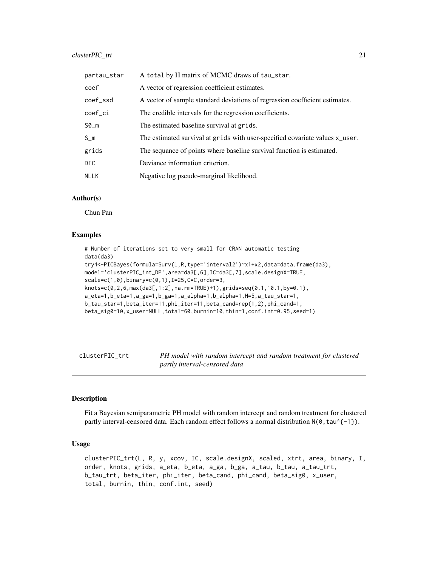#### <span id="page-20-0"></span>clusterPIC\_trt 21

| partau_star | A total by H matrix of MCMC draws of tau_star.                               |
|-------------|------------------------------------------------------------------------------|
| coef        | A vector of regression coefficient estimates.                                |
| coef_ssd    | A vector of sample standard deviations of regression coefficient estimates.  |
| coef_ci     | The credible intervals for the regression coefficients.                      |
| S0_m        | The estimated baseline survival at grids.                                    |
| $S_m$       | The estimated survival at grids with user-specified covariate values x_user. |
| grids       | The sequance of points where baseline survival function is estimated.        |
| DIC         | Deviance information criterion.                                              |
| NLLK        | Negative log pseudo-marginal likelihood.                                     |
|             |                                                                              |

#### Author(s)

Chun Pan

#### Examples

```
# Number of iterations set to very small for CRAN automatic testing
data(da3)
try4<-PICBayes(formula=Surv(L,R,type='interval2')~x1+x2,data=data.frame(da3),
model='clusterPIC_int_DP',area=da3[,6],IC=da3[,7],scale.designX=TRUE,
scale=c(1,0),binary=c(0,1),I=25,C=C,order=3,
knots=c(0,2,6,max(da3[,1:2],na.rm=TRUE)+1),grids=seq(0.1,10.1,by=0.1),
a_eta=1,b_eta=1,a_ga=1,b_ga=1,a_alpha=1,b_alpha=1,H=5,a_tau_star=1,
b_tau_star=1,beta_iter=11,phi_iter=11,beta_cand=rep(1,2),phi_cand=1,
beta_sig0=10,x_user=NULL,total=60,burnin=10,thin=1,conf.int=0.95,seed=1)
```
clusterPIC\_trt *PH model with random intercept and random treatment for clustered partly interval-censored data*

#### Description

Fit a Bayesian semiparametric PH model with random intercept and random treatment for clustered partly interval-censored data. Each random effect follows a normal distribution  $N(0, \tan^2(-1))$ .

### Usage

```
clusterPIC_trt(L, R, y, xcov, IC, scale.designX, scaled, xtrt, area, binary, I,
order, knots, grids, a_eta, b_eta, a_ga, b_ga, a_tau, b_tau, a_tau_trt,
b_tau_trt, beta_iter, phi_iter, beta_cand, phi_cand, beta_sig0, x_user,
total, burnin, thin, conf.int, seed)
```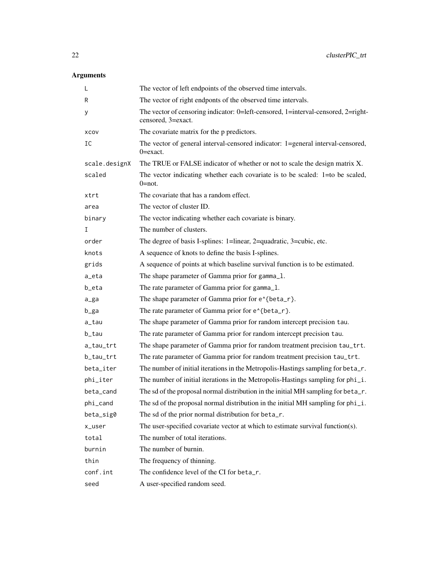| L             | The vector of left endpoints of the observed time intervals.                                            |
|---------------|---------------------------------------------------------------------------------------------------------|
| R             | The vector of right endponts of the observed time intervals.                                            |
| У             | The vector of censoring indicator: 0=left-censored, 1=interval-censored, 2=right-<br>censored, 3=exact. |
| XCOV          | The covariate matrix for the p predictors.                                                              |
| IC            | The vector of general interval-censored indicator: 1=general interval-censored,<br>$0 = exact.$         |
| scale.designX | The TRUE or FALSE indicator of whether or not to scale the design matrix X.                             |
| scaled        | The vector indicating whether each covariate is to be scaled: 1=to be scaled,<br>$0 = not.$             |
| xtrt          | The covariate that has a random effect.                                                                 |
| area          | The vector of cluster ID.                                                                               |
| binary        | The vector indicating whether each covariate is binary.                                                 |
| I             | The number of clusters.                                                                                 |
| order         | The degree of basis I-splines: 1=linear, 2=quadratic, 3=cubic, etc.                                     |
| knots         | A sequence of knots to define the basis I-splines.                                                      |
| grids         | A sequence of points at which baseline survival function is to be estimated.                            |
| a_eta         | The shape parameter of Gamma prior for gamma_1.                                                         |
| b_eta         | The rate parameter of Gamma prior for gamma_1.                                                          |
| a_ga          | The shape parameter of Gamma prior for e^{beta_r}.                                                      |
| b_ga          | The rate parameter of Gamma prior for e^{beta_r}.                                                       |
| a_tau         | The shape parameter of Gamma prior for random intercept precision tau.                                  |
| b_tau         | The rate parameter of Gamma prior for random intercept precision tau.                                   |
| a_tau_trt     | The shape parameter of Gamma prior for random treatment precision tau_trt.                              |
| b_tau_trt     | The rate parameter of Gamma prior for random treatment precision tau_trt.                               |
| beta_iter     | The number of initial iterations in the Metropolis-Hastings sampling for beta_r.                        |
| phi_iter      | The number of initial iterations in the Metropolis-Hastings sampling for phi_i.                         |
| beta_cand     | The sd of the proposal normal distribution in the initial MH sampling for beta_r.                       |
| phi_cand      | The sd of the proposal normal distribution in the initial MH sampling for phi_i.                        |
| beta_sig0     | The sd of the prior normal distribution for beta_r.                                                     |
| x_user        | The user-specified covariate vector at which to estimate survival function(s).                          |
| total         | The number of total iterations.                                                                         |
| burnin        | The number of burnin.                                                                                   |
| thin          | The frequency of thinning.                                                                              |
| conf.int      | The confidence level of the CI for beta_r.                                                              |
| seed          | A user-specified random seed.                                                                           |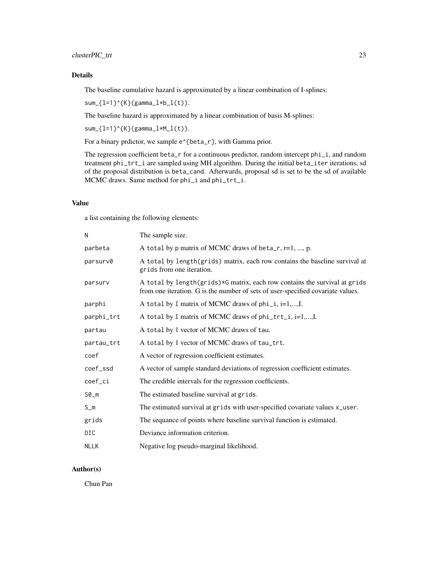The baseline cumulative hazard is approximated by a linear combination of I-splines:

 $sum_{i=1}^{n}$  sum<sub>-</sub>{l=1}^{K}(gamma\_l\*b\_l(t)).

The baseline hazard is approximated by a linear combination of basis M-splines:

 $sum_{i=1}^{n}$  sum<sub>-</sub>{l=1}^{K}(gamma\_l\*M\_l(t)).

For a binary prdictor, we sample  $e^{\lambda}$ {beta\_r}, with Gamma prior.

The regression coefficient beta\_r for a continuous predictor, random intercept phi\_i, and random treatment phi\_trt\_i are sampled using MH algorithm. During the initial beta\_iter iterations, sd of the proposal distribution is beta\_cand. Afterwards, proposal sd is set to be the sd of available MCMC draws. Same method for phi\_i and phi\_trt\_i.

# Value

a list containing the following elements:

| N           | The sample size.                                                                                                                                              |
|-------------|---------------------------------------------------------------------------------------------------------------------------------------------------------------|
| parbeta     | A total by p matrix of MCMC draws of beta_r, r=1, , p.                                                                                                        |
| parsurv0    | A total by length(grids) matrix, each row contains the baseline survival at<br>grids from one iteration.                                                      |
| parsurv     | A total by length(grids)*G matrix, each row contains the survival at grids<br>from one iteration. G is the number of sets of user-specified covariate values. |
| parphi      | A total by I matrix of MCMC draws of $phi_i$ , $i=1,,I$ .                                                                                                     |
| parphi_trt  | A total by I matrix of MCMC draws of phi_trt_i, i=1,,I.                                                                                                       |
| partau      | A total by 1 vector of MCMC draws of tau.                                                                                                                     |
| partau_trt  | A total by 1 vector of MCMC draws of tau_trt.                                                                                                                 |
| coef        | A vector of regression coefficient estimates.                                                                                                                 |
| coef_ssd    | A vector of sample standard deviations of regression coefficient estimates.                                                                                   |
| coef_ci     | The credible intervals for the regression coefficients.                                                                                                       |
| $SO_m$      | The estimated baseline survival at grids.                                                                                                                     |
| $S_m$       | The estimated survival at grids with user-specified covariate values x_user.                                                                                  |
| grids       | The sequance of points where baseline survival function is estimated.                                                                                         |
| DIC         | Deviance information criterion.                                                                                                                               |
| <b>NLLK</b> | Negative log pseudo-marginal likelihood.                                                                                                                      |

#### Author(s)

Chun Pan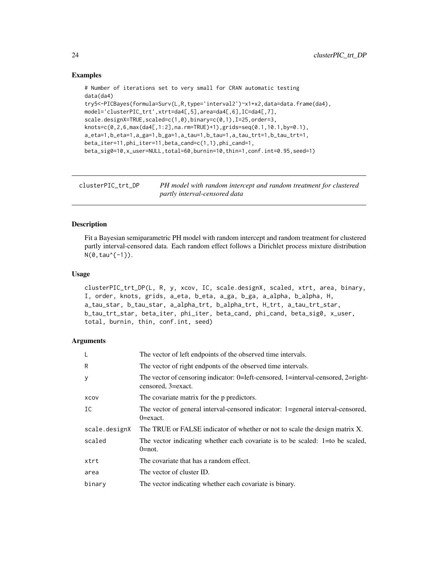#### Examples

```
# Number of iterations set to very small for CRAN automatic testing
data(da4)
try5<-PICBayes(formula=Surv(L,R,type='interval2')~x1+x2,data=data.frame(da4),
model='clusterPIC_trt',xtrt=da4[,5],area=da4[,6],IC=da4[,7],
scale.designX=TRUE,scaled=c(1,0),binary=c(0,1),I=25,order=3,
knots=c(0,2,6,max(da4[,1:2],na.rm=TRUE)+1),grids=seq(0.1,10.1,by=0.1),
a_eta=1,b_eta=1,a_ga=1,b_ga=1,a_tau=1,b_tau=1,a_tau_trt=1,b_tau_trt=1,
beta_iter=11,phi_iter=11,beta_cand=c(1,1),phi_cand=1,
beta_sig0=10,x_user=NULL,total=60,burnin=10,thin=1,conf.int=0.95,seed=1)
```
clusterPIC\_trt\_DP *PH model with random intercept and random treatment for clustered partly interval-censored data*

#### Description

Fit a Bayesian semiparametric PH model with random intercept and random treatment for clustered partly interval-censored data. Each random effect follows a Dirichlet process mixture distribution  $N(0, \tan^{-1}(-1)).$ 

#### Usage

```
clusterPIC_trt_DP(L, R, y, xcov, IC, scale.designX, scaled, xtrt, area, binary,
I, order, knots, grids, a_eta, b_eta, a_ga, b_ga, a_alpha, b_alpha, H,
a_tau_star, b_tau_star, a_alpha_trt, b_alpha_trt, H_trt, a_tau_trt_star,
b_tau_trt_star, beta_iter, phi_iter, beta_cand, phi_cand, beta_sig0, x_user,
total, burnin, thin, conf.int, seed)
```

| L             | The vector of left endpoints of the observed time intervals.                                            |
|---------------|---------------------------------------------------------------------------------------------------------|
| R             | The vector of right endponts of the observed time intervals.                                            |
| У             | The vector of censoring indicator: 0=left-censored, 1=interval-censored, 2=right-<br>censored, 3=exact. |
| XCOV          | The covariate matrix for the p predictors.                                                              |
| IC            | The vector of general interval-censored indicator: 1=general interval-censored,<br>$0 = exact.$         |
| scale.designX | The TRUE or FALSE indicator of whether or not to scale the design matrix X.                             |
| scaled        | The vector indicating whether each covariate is to be scaled: $1=$ to be scaled,<br>$0 = not.$          |
| xtrt          | The covariate that has a random effect.                                                                 |
| area          | The vector of cluster ID.                                                                               |
| binary        | The vector indicating whether each covariate is binary.                                                 |

<span id="page-23-0"></span>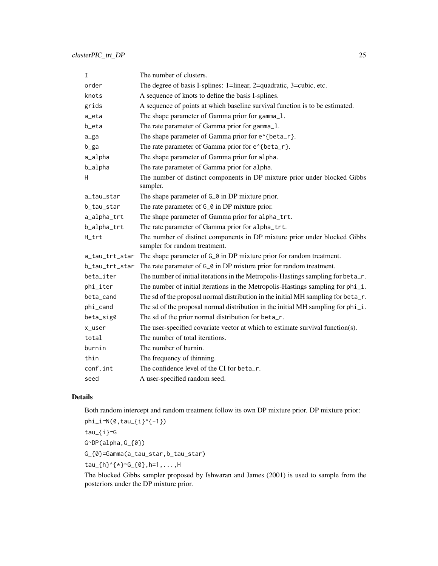| $\mathbf I$    | The number of clusters.                                                                                    |
|----------------|------------------------------------------------------------------------------------------------------------|
| order          | The degree of basis I-splines: 1=linear, 2=quadratic, 3=cubic, etc.                                        |
| knots          | A sequence of knots to define the basis I-splines.                                                         |
| grids          | A sequence of points at which baseline survival function is to be estimated.                               |
| a_eta          | The shape parameter of Gamma prior for gamma_1.                                                            |
| b_eta          | The rate parameter of Gamma prior for gamma_1.                                                             |
| a_ga           | The shape parameter of Gamma prior for e^{beta_r}.                                                         |
| b_ga           | The rate parameter of Gamma prior for e^{beta_r}.                                                          |
| a_alpha        | The shape parameter of Gamma prior for alpha.                                                              |
| b_alpha        | The rate parameter of Gamma prior for alpha.                                                               |
| H              | The number of distinct components in DP mixture prior under blocked Gibbs<br>sampler.                      |
| a_tau_star     | The shape parameter of G <sub></sub> o in DP mixture prior.                                                |
| b_tau_star     | The rate parameter of G <sub></sub> o in DP mixture prior.                                                 |
| a_alpha_trt    | The shape parameter of Gamma prior for alpha_trt.                                                          |
| b_alpha_trt    | The rate parameter of Gamma prior for alpha_trt.                                                           |
| H_trt          | The number of distinct components in DP mixture prior under blocked Gibbs<br>sampler for random treatment. |
| a_tau_trt_star | The shape parameter of $G_0$ in DP mixture prior for random treatment.                                     |
| b_tau_trt_star | The rate parameter of $G_0$ in DP mixture prior for random treatment.                                      |
| beta_iter      | The number of initial iterations in the Metropolis-Hastings sampling for beta_r.                           |
| phi_iter       | The number of initial iterations in the Metropolis-Hastings sampling for phi_i.                            |
| beta_cand      | The sd of the proposal normal distribution in the initial MH sampling for beta_r.                          |
| phi_cand       | The sd of the proposal normal distribution in the initial MH sampling for phi_i.                           |
| beta_sig0      | The sd of the prior normal distribution for beta_r.                                                        |
| x_user         | The user-specified covariate vector at which to estimate survival function(s).                             |
| total          | The number of total iterations.                                                                            |
| burnin         | The number of burnin.                                                                                      |
| thin           | The frequency of thinning.                                                                                 |
| conf.int       | The confidence level of the CI for beta_r.                                                                 |
| seed           | A user-specified random seed.                                                                              |

Both random intercept and random treatment follow its own DP mixture prior. DP mixture prior:

 $phi_i^N(0,tau_{1})^{(-1)}$ 

tau\_{i}~G

G~DP(alpha,G\_{0})

G\_{0}=Gamma(a\_tau\_star,b\_tau\_star)

tau\_{h}^{\*}~G\_{0},h=1,...,H

The blocked Gibbs sampler proposed by Ishwaran and James (2001) is used to sample from the posteriors under the DP mixture prior.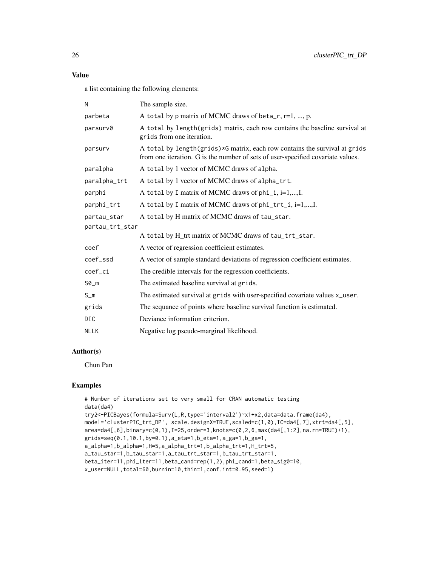#### Value

a list containing the following elements:

| N               | The sample size.                                                                                                                                              |
|-----------------|---------------------------------------------------------------------------------------------------------------------------------------------------------------|
| parbeta         | A total by p matrix of MCMC draws of beta_r, $r=1$ , , p.                                                                                                     |
| parsurv0        | A total by length(grids) matrix, each row contains the baseline survival at<br>grids from one iteration.                                                      |
| parsurv         | A total by length(grids)*G matrix, each row contains the survival at grids<br>from one iteration. G is the number of sets of user-specified covariate values. |
| paralpha        | A total by 1 vector of MCMC draws of alpha.                                                                                                                   |
| paralpha_trt    | A total by 1 vector of MCMC draws of alpha_trt.                                                                                                               |
| parphi          | A total by I matrix of MCMC draws of phi_i, i=1,,I.                                                                                                           |
| parphi_trt      | A total by I matrix of MCMC draws of phi_trt_i, i=1,, I.                                                                                                      |
| partau_star     | A total by H matrix of MCMC draws of tau_star.                                                                                                                |
| partau_trt_star |                                                                                                                                                               |
|                 | A total by H_trt matrix of MCMC draws of tau_trt_star.                                                                                                        |
| coef            | A vector of regression coefficient estimates.                                                                                                                 |
| coef_ssd        | A vector of sample standard deviations of regression coefficient estimates.                                                                                   |
| coef_ci         | The credible intervals for the regression coefficients.                                                                                                       |
| $SØ_m$          | The estimated baseline survival at grids.                                                                                                                     |
| $S_m$           | The estimated survival at grids with user-specified covariate values x_user.                                                                                  |
| grids           | The sequance of points where baseline survival function is estimated.                                                                                         |
| <b>DIC</b>      | Deviance information criterion.                                                                                                                               |
| <b>NLLK</b>     | Negative log pseudo-marginal likelihood.                                                                                                                      |
|                 |                                                                                                                                                               |

# Author(s)

Chun Pan

#### Examples

```
# Number of iterations set to very small for CRAN automatic testing
data(da4)
try2<-PICBayes(formula=Surv(L,R,type='interval2')~x1+x2,data=data.frame(da4),
model='clusterPIC_trt_DP', scale.designX=TRUE,scaled=c(1,0),IC=da4[,7],xtrt=da4[,5],
area=da4[,6],binary=c(0,1),I=25,order=3,knots=c(0,2,6,max(da4[,1:2],na.rm=TRUE)+1),
grids=seq(0.1,10.1,by=0.1),a_eta=1,b_eta=1,a_ga=1,b_ga=1,
a_alpha=1,b_alpha=1,H=5,a_alpha_trt=1,b_alpha_trt=1,H_trt=5,
a_tau_star=1,b_tau_star=1,a_tau_trt_star=1,b_tau_trt_star=1,
beta_iter=11,phi_iter=11,beta_cand=rep(1,2),phi_cand=1,beta_sig0=10,
x_user=NULL,total=60,burnin=10,thin=1,conf.int=0.95,seed=1)
```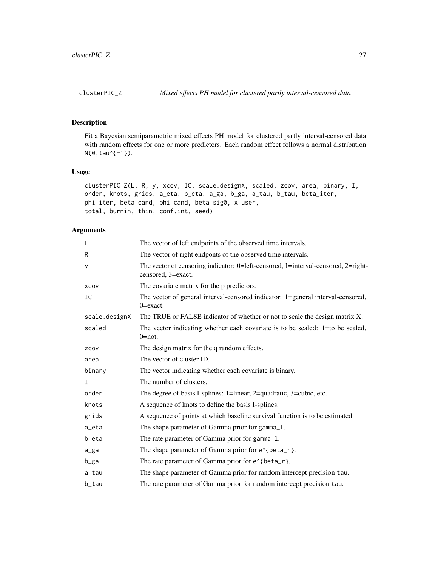<span id="page-26-0"></span>

#### Description

Fit a Bayesian semiparametric mixed effects PH model for clustered partly interval-censored data with random effects for one or more predictors. Each random effect follows a normal distribution N(0,tau^{-1}).

#### Usage

```
clusterPIC_Z(L, R, y, xcov, IC, scale.designX, scaled, zcov, area, binary, I,
order, knots, grids, a_eta, b_eta, a_ga, b_ga, a_tau, b_tau, beta_iter,
phi_iter, beta_cand, phi_cand, beta_sig0, x_user,
total, burnin, thin, conf.int, seed)
```

| L             | The vector of left endpoints of the observed time intervals.                                            |
|---------------|---------------------------------------------------------------------------------------------------------|
| R             | The vector of right endponts of the observed time intervals.                                            |
| У             | The vector of censoring indicator: 0=left-censored, 1=interval-censored, 2=right-<br>censored, 3=exact. |
| XCOV          | The covariate matrix for the p predictors.                                                              |
| IC            | The vector of general interval-censored indicator: 1=general interval-censored,<br>$0 = exact.$         |
| scale.designX | The TRUE or FALSE indicator of whether or not to scale the design matrix X.                             |
| scaled        | The vector indicating whether each covariate is to be scaled: $1=$ to be scaled,<br>$0 = not.$          |
| ZCOV          | The design matrix for the q random effects.                                                             |
| area          | The vector of cluster ID.                                                                               |
| binary        | The vector indicating whether each covariate is binary.                                                 |
| T             | The number of clusters.                                                                                 |
| order         | The degree of basis I-splines: 1=linear, 2=quadratic, 3=cubic, etc.                                     |
| knots         | A sequence of knots to define the basis I-splines.                                                      |
| grids         | A sequence of points at which baseline survival function is to be estimated.                            |
| a_eta         | The shape parameter of Gamma prior for gamma_1.                                                         |
| b_eta         | The rate parameter of Gamma prior for gamma_1.                                                          |
| a_ga          | The shape parameter of Gamma prior for e <sup><math>\lambda</math></sup> {beta_r}.                      |
| b_ga          | The rate parameter of Gamma prior for e^{beta_r}.                                                       |
| a_tau         | The shape parameter of Gamma prior for random intercept precision tau.                                  |
| b_tau         | The rate parameter of Gamma prior for random intercept precision tau.                                   |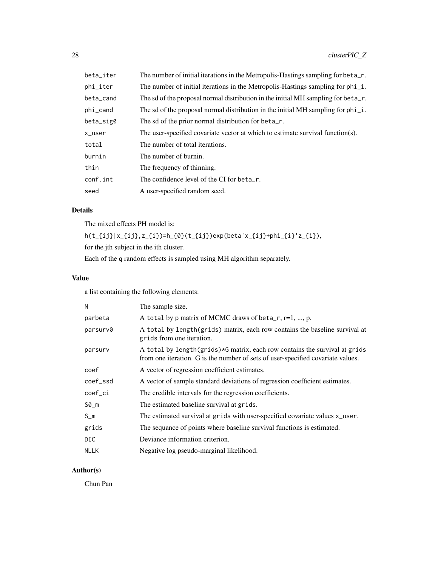| beta_iter | The number of initial iterations in the Metropolis-Hastings sampling for beta_r.    |
|-----------|-------------------------------------------------------------------------------------|
| phi_iter  | The number of initial iterations in the Metropolis-Hastings sampling for phi_i.     |
| beta_cand | The sd of the proposal normal distribution in the initial MH sampling for beta_r.   |
| phi_cand  | The sd of the proposal normal distribution in the initial MH sampling for $phi_i$ . |
| beta_sig0 | The sd of the prior normal distribution for beta_r.                                 |
| x_user    | The user-specified covariate vector at which to estimate survival function(s).      |
| total     | The number of total iterations.                                                     |
| burnin    | The number of burnin.                                                               |
| thin      | The frequency of thinning.                                                          |
| conf.int  | The confidence level of the CI for beta_r.                                          |
| seed      | A user-specified random seed.                                                       |

The mixed effects PH model is:

 $h(t_{i})|x_{i}|,z_{i})=h_{0}(t_{i})=exp(beta'x_{i})+phi_{i}(i)'z_{i}),$ 

for the jth subject in the ith cluster.

Each of the q random effects is sampled using MH algorithm separately.

# Value

a list containing the following elements:

| The sample size.                                                                                                                                              |
|---------------------------------------------------------------------------------------------------------------------------------------------------------------|
| A total by p matrix of MCMC draws of beta_r, $r=1, , p$ .                                                                                                     |
| A total by length (grids) matrix, each row contains the baseline survival at<br>grids from one iteration.                                                     |
| A total by length(grids)*G matrix, each row contains the survival at grids<br>from one iteration. G is the number of sets of user-specified covariate values. |
| A vector of regression coefficient estimates.                                                                                                                 |
| A vector of sample standard deviations of regression coefficient estimates.                                                                                   |
| The credible intervals for the regression coefficients.                                                                                                       |
| The estimated baseline survival at grids.                                                                                                                     |
| The estimated survival at grids with user-specified covariate values x_user.                                                                                  |
| The sequance of points where baseline survival functions is estimated.                                                                                        |
| Deviance information criterion.                                                                                                                               |
| Negative log pseudo-marginal likelihood.                                                                                                                      |
|                                                                                                                                                               |

# Author(s)

Chun Pan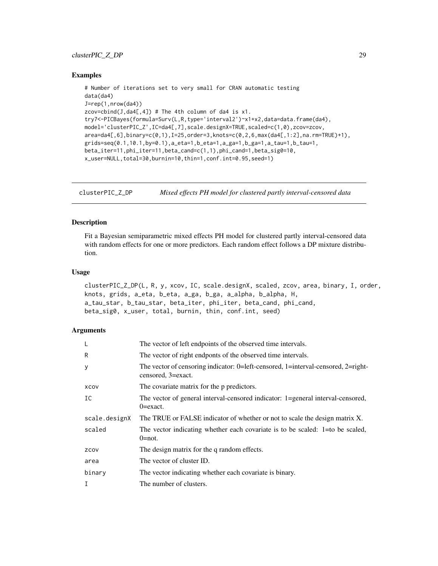#### <span id="page-28-0"></span>clusterPIC\_Z\_DP 29

#### Examples

```
# Number of iterations set to very small for CRAN automatic testing
data(da4)
J=rep(1,nrow(da4))
zcov=cbind(J,da4[,4]) # The 4th column of da4 is x1.
try7<-PICBayes(formula=Surv(L,R,type='interval2')~x1+x2,data=data.frame(da4),
model='clusterPIC_Z',IC=da4[,7],scale.designX=TRUE,scaled=c(1,0),zcov=zcov,
area=da4[,6],binary=c(0,1),I=25,order=3,knots=c(0,2,6,max(da4[,1:2],na.rm=TRUE)+1),
grids=seq(0.1, 10.1, by=0.1), a_{eta=1}, b_{eta=1}, a_{ga=1}, b_{ga=1}, a_{tau=1}, b_{tau=1},beta_iter=11,phi_iter=11,beta_cand=c(1,1),phi_cand=1,beta_sig0=10,
x_user=NULL,total=30,burnin=10,thin=1,conf.int=0.95,seed=1)
```
clusterPIC\_Z\_DP *Mixed effects PH model for clustered partly interval-censored data*

#### **Description**

Fit a Bayesian semiparametric mixed effects PH model for clustered partly interval-censored data with random effects for one or more predictors. Each random effect follows a DP mixture distribution.

#### Usage

clusterPIC\_Z\_DP(L, R, y, xcov, IC, scale.designX, scaled, zcov, area, binary, I, order, knots, grids, a\_eta, b\_eta, a\_ga, b\_ga, a\_alpha, b\_alpha, H, a\_tau\_star, b\_tau\_star, beta\_iter, phi\_iter, beta\_cand, phi\_cand, beta\_sig0, x\_user, total, burnin, thin, conf.int, seed)

| L             | The vector of left endpoints of the observed time intervals.                                            |
|---------------|---------------------------------------------------------------------------------------------------------|
| R             | The vector of right endponts of the observed time intervals.                                            |
| У             | The vector of censoring indicator: 0=left-censored, 1=interval-censored, 2=right-<br>censored, 3=exact. |
| XCOV          | The covariate matrix for the p predictors.                                                              |
| IC            | The vector of general interval-censored indicator: 1=general interval-censored,<br>$0 = exact.$         |
| scale.designX | The TRUE or FALSE indicator of whether or not to scale the design matrix X.                             |
| scaled        | The vector indicating whether each covariate is to be scaled: 1=to be scaled,<br>$0 = not.$             |
| ZCOV          | The design matrix for the q random effects.                                                             |
| area          | The vector of cluster ID.                                                                               |
| binary        | The vector indicating whether each covariate is binary.                                                 |
| I             | The number of clusters.                                                                                 |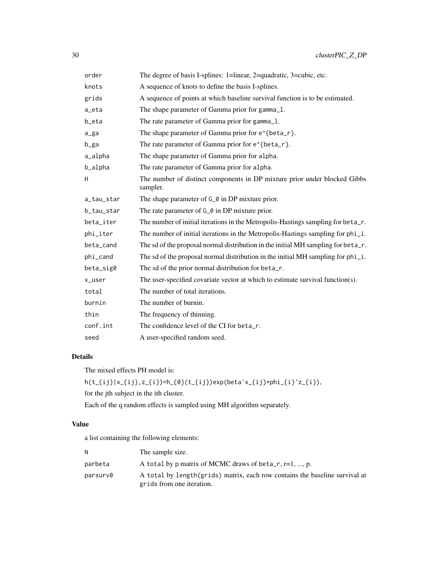| order      | The degree of basis I-splines: 1=linear, 2=quadratic, 3=cubic, etc.                   |
|------------|---------------------------------------------------------------------------------------|
| knots      | A sequence of knots to define the basis I-splines.                                    |
| grids      | A sequence of points at which baseline survival function is to be estimated.          |
| a_eta      | The shape parameter of Gamma prior for gamma_1.                                       |
| b_eta      | The rate parameter of Gamma prior for gamma_1.                                        |
| a_ga       | The shape parameter of Gamma prior for e^{beta_r}.                                    |
| b_ga       | The rate parameter of Gamma prior for e^{beta_r}.                                     |
| a_alpha    | The shape parameter of Gamma prior for alpha.                                         |
| b_alpha    | The rate parameter of Gamma prior for alpha.                                          |
| H          | The number of distinct components in DP mixture prior under blocked Gibbs<br>sampler. |
| a_tau_star | The shape parameter of G_0 in DP mixture prior.                                       |
| b_tau_star | The rate parameter of G <sub></sub> o in DP mixture prior.                            |
| beta_iter  | The number of initial iterations in the Metropolis-Hastings sampling for beta_r.      |
| phi_iter   | The number of initial iterations in the Metropolis-Hastings sampling for phi_i.       |
| beta_cand  | The sd of the proposal normal distribution in the initial MH sampling for beta_r.     |
| phi_cand   | The sd of the proposal normal distribution in the initial MH sampling for $phi_i$ .   |
| beta_sig0  | The sd of the prior normal distribution for beta_r.                                   |
| x_user     | The user-specified covariate vector at which to estimate survival function(s).        |
| total      | The number of total iterations.                                                       |
| burnin     | The number of burnin.                                                                 |
| thin       | The frequency of thinning.                                                            |
| conf.int   | The confidence level of the CI for beta_r.                                            |
| seed       | A user-specified random seed.                                                         |

The mixed effects PH model is:

 $h(t_{i})|x_{i}|,z_{i})=h_{0}(t_{i})=exp(beta'x_{i})+phi_{i}(i)'z_{i}),$ 

for the jth subject in the ith cluster.

Each of the q random effects is sampled using MH algorithm separately.

# Value

a list containing the following elements:

| N        | The sample size.                                                                                          |
|----------|-----------------------------------------------------------------------------------------------------------|
| parbeta  | A total by p matrix of MCMC draws of beta_r, $r=1, , p$ .                                                 |
| parsurv0 | A total by length (grids) matrix, each row contains the baseline survival at<br>grids from one iteration. |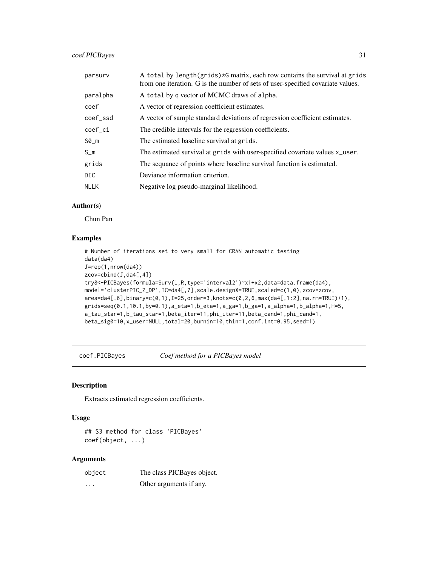# <span id="page-30-0"></span>coef.PICBayes 31

| parsury     | A total by length(grids)*G matrix, each row contains the survival at grids<br>from one iteration. G is the number of sets of user-specified covariate values. |
|-------------|---------------------------------------------------------------------------------------------------------------------------------------------------------------|
| paralpha    | A total by g vector of MCMC draws of alpha.                                                                                                                   |
| coef        | A vector of regression coefficient estimates.                                                                                                                 |
| coef ssd    | A vector of sample standard deviations of regression coefficient estimates.                                                                                   |
| coef_ci     | The credible intervals for the regression coefficients.                                                                                                       |
| $SØ_m$      | The estimated baseline survival at grids.                                                                                                                     |
| $S_m$       | The estimated survival at grids with user-specified covariate values x_user.                                                                                  |
| grids       | The sequance of points where baseline survival function is estimated.                                                                                         |
| DIC.        | Deviance information criterion.                                                                                                                               |
| <b>NLLK</b> | Negative log pseudo-marginal likelihood.                                                                                                                      |

#### Author(s)

Chun Pan

# Examples

```
# Number of iterations set to very small for CRAN automatic testing
data(da4)
J=rep(1,nrow(da4))
zcov=cbind(J,da4[,4])
try8<-PICBayes(formula=Surv(L,R,type='interval2')~x1+x2,data=data.frame(da4),
model='clusterPIC_Z_DP',IC=da4[,7],scale.designX=TRUE,scaled=c(1,0),zcov=zcov,
area=da4[,6],binary=c(0,1),I=25,order=3,knots=c(0,2,6,max(da4[,1:2],na.rm=TRUE)+1),
grids=seq(0.1,10.1,by=0.1),a_eta=1,b_eta=1,a_ga=1,b_ga=1,a_alpha=1,b_alpha=1,H=5,
a_tau_star=1,b_tau_star=1,beta_iter=11,phi_iter=11,beta_cand=1,phi_cand=1,
beta_sig0=10,x_user=NULL,total=20,burnin=10,thin=1,conf.int=0.95,seed=1)
```
coef.PICBayes *Coef method for a PICBayes model*

# Description

Extracts estimated regression coefficients.

#### Usage

## S3 method for class 'PICBayes' coef(object, ...)

| object | The class PICBayes object. |
|--------|----------------------------|
| .      | Other arguments if any.    |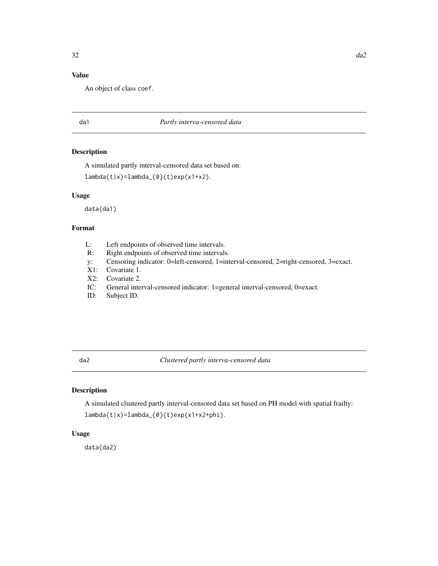# <span id="page-31-0"></span>Value

An object of class coef.

#### da1 *Partly interva-censored data*

# Description

A simulated partly interval-censored data set based on:

lambda(t|x)=lambda\_{0}(t)exp(x1+x2).

#### Usage

data(da1)

# Format

- L: Left endpoints of observed time intervals.
- R: Right endpoints of observed time intervals.
- y: Censoring indicator: 0=left-censored, 1=interval-censored, 2=right-censored, 3=exact.
- X1: Covariate 1.
- X2: Covariate 2.
- IC: General interval-censored indicator: 1=general interval-censored, 0=exact.
- ID: Subject ID.

# da2 *Clustered partly interva-censored data*

# Description

A simulated clsutered partly interval-censored data set based on PH model with spatial frailty: lambda(t|x)=lambda\_{0}(t)exp(x1+x2+phi).

#### Usage

data(da2)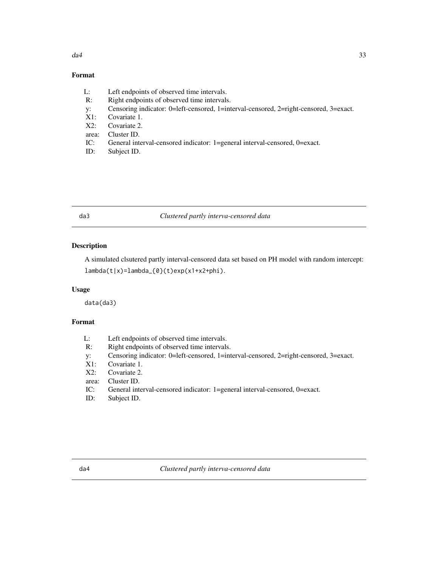# <span id="page-32-0"></span>Format

- L: Left endpoints of observed time intervals.
- R: Right endpoints of observed time intervals.
- y: Censoring indicator: 0=left-censored, 1=interval-censored, 2=right-censored, 3=exact.<br>X1: Covariate 1.
- Covariate 1.
- X2: Covariate 2.
- area: Cluster ID.
- IC: General interval-censored indicator: 1=general interval-censored, 0=exact.
- ID: Subject ID.

# da3 *Clustered partly interva-censored data*

# Description

A simulated clsutered partly interval-censored data set based on PH model with random intercept: lambda(t|x)=lambda\_{0}(t)exp(x1+x2+phi).

#### Usage

data(da3)

# Format

| L: | Left endpoints of observed time intervals. |
|----|--------------------------------------------|
|    | <b>D'ILIUS AREA</b>                        |

- R: Right endpoints of observed time intervals.
- y: Censoring indicator: 0=left-censored, 1=interval-censored, 2=right-censored, 3=exact.
- X1: Covariate 1.
- X2: Covariate 2.
- area: Cluster ID.
- IC: General interval-censored indicator: 1=general interval-censored, 0=exact.
- ID: Subject ID.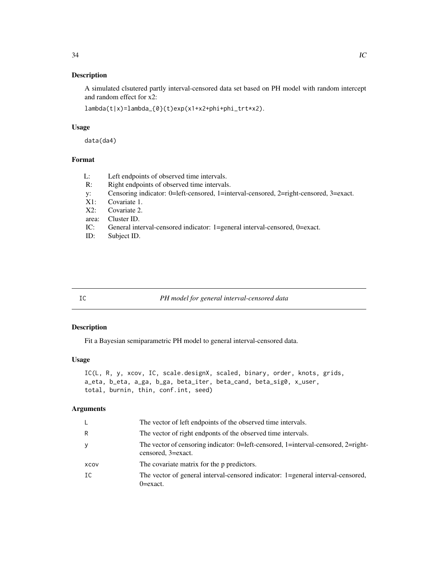# <span id="page-33-0"></span>Description

A simulated clsutered partly interval-censored data set based on PH model with random intercept and random effect for x2:

lambda(t|x)=lambda\_{0}(t)exp(x1+x2+phi+phi\_trt\*x2).

# Usage

data(da4)

#### Format

| L:    | Left endpoints of observed time intervals.                                            |
|-------|---------------------------------------------------------------------------------------|
| R:    | Right endpoints of observed time intervals.                                           |
| V:    | Censoring indicator: 0=left-censored, 1=interval-censored, 2=right-censored, 3=exact. |
| X1:   | Covariate 1.                                                                          |
| X2:   | Covariate 2.                                                                          |
| area: | Cluster ID.                                                                           |
| IC:   | General interval-censored indicator: 1=general interval-censored, 0=exact.            |

ID: Subject ID.

# IC *PH model for general interval-censored data*

#### Description

Fit a Bayesian semiparametric PH model to general interval-censored data.

#### Usage

```
IC(L, R, y, xcov, IC, scale.designX, scaled, binary, order, knots, grids,
a_eta, b_eta, a_ga, b_ga, beta_iter, beta_cand, beta_sig0, x_user,
total, burnin, thin, conf.int, seed)
```

| The vector of left endpoints of the observed time intervals.                                            |
|---------------------------------------------------------------------------------------------------------|
| The vector of right endponts of the observed time intervals.                                            |
| The vector of censoring indicator: 0=left-censored, 1=interval-censored, 2=right-<br>censored, 3=exact. |
| The covariate matrix for the p predictors.                                                              |
| The vector of general interval-censored indicator: 1=general interval-censored,<br>0=exact.             |
|                                                                                                         |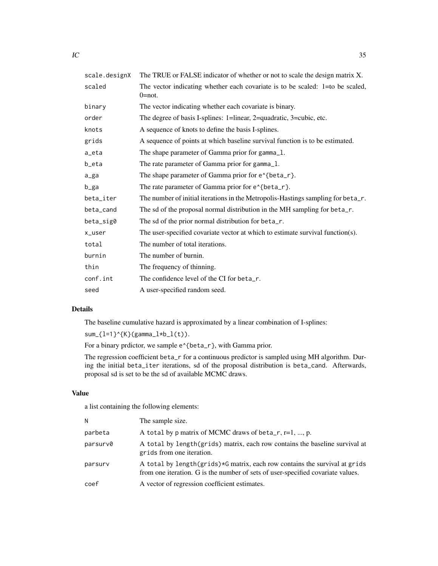| scale.designX | The TRUE or FALSE indicator of whether or not to scale the design matrix X.                 |
|---------------|---------------------------------------------------------------------------------------------|
| scaled        | The vector indicating whether each covariate is to be scaled: 1=to be scaled,<br>$0 = not.$ |
| binary        | The vector indicating whether each covariate is binary.                                     |
| order         | The degree of basis I-splines: 1=linear, 2=quadratic, 3=cubic, etc.                         |
| knots         | A sequence of knots to define the basis I-splines.                                          |
| grids         | A sequence of points at which baseline survival function is to be estimated.                |
| a_eta         | The shape parameter of Gamma prior for gamma_1.                                             |
| b_eta         | The rate parameter of Gamma prior for gamma_1.                                              |
| a_ga          | The shape parameter of Gamma prior for e <sup><math>\lambda</math></sup> {beta_r}.          |
| b_ga          | The rate parameter of Gamma prior for e^{beta_r}.                                           |
| beta_iter     | The number of initial iterations in the Metropolis-Hastings sampling for beta_r.            |
| beta_cand     | The sd of the proposal normal distribution in the MH sampling for beta_r.                   |
| beta_sig0     | The sd of the prior normal distribution for beta_r.                                         |
| x_user        | The user-specified covariate vector at which to estimate survival function(s).              |
| total         | The number of total iterations.                                                             |
| burnin        | The number of burnin.                                                                       |
| thin          | The frequency of thinning.                                                                  |
| conf.int      | The confidence level of the CI for beta_r.                                                  |
| seed          | A user-specified random seed.                                                               |

The baseline cumulative hazard is approximated by a linear combination of I-splines:

 $sum_{1=1}^{n}({K}(\gamma)$  (gamma\_l\*b\_l(t)).

For a binary prdictor, we sample  $e^{A}$  (beta\_r}, with Gamma prior.

The regression coefficient beta\_r for a continuous predictor is sampled using MH algorithm. During the initial beta\_iter iterations, sd of the proposal distribution is beta\_cand. Afterwards, proposal sd is set to be the sd of available MCMC draws.

# Value

a list containing the following elements:

| N        | The sample size.                                                                                                                                              |
|----------|---------------------------------------------------------------------------------------------------------------------------------------------------------------|
| parbeta  | A total by p matrix of MCMC draws of beta_r, $r=1$ , , p.                                                                                                     |
| parsurv0 | A total by length (grids) matrix, each row contains the baseline survival at<br>grids from one iteration.                                                     |
| parsurv  | A total by length(grids)*G matrix, each row contains the survival at grids<br>from one iteration. G is the number of sets of user-specified covariate values. |
| coef     | A vector of regression coefficient estimates.                                                                                                                 |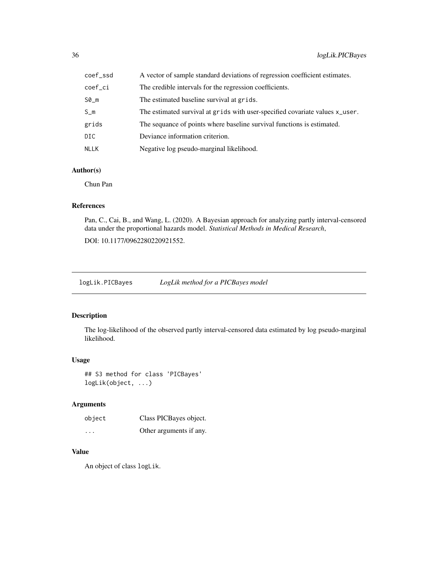<span id="page-35-0"></span>

| coef_ssd | A vector of sample standard deviations of regression coefficient estimates.  |
|----------|------------------------------------------------------------------------------|
| coef ci  | The credible intervals for the regression coefficients.                      |
| S0_m     | The estimated baseline survival at grids.                                    |
| $S_m$    | The estimated survival at grids with user-specified covariate values x_user. |
| grids    | The sequance of points where baseline survival functions is estimated.       |
| DIC      | Deviance information criterion.                                              |
| NLLK     | Negative log pseudo-marginal likelihood.                                     |

# Author(s)

Chun Pan

# References

Pan, C., Cai, B., and Wang, L. (2020). A Bayesian approach for analyzing partly interval-censored data under the proportional hazards model. *Statistical Methods in Medical Research*,

DOI: 10.1177/0962280220921552.

logLik.PICBayes *LogLik method for a PICBayes model*

# Description

The log-likelihood of the observed partly interval-censored data estimated by log pseudo-marginal likelihood.

#### Usage

## S3 method for class 'PICBayes' logLik(object, ...)

# Arguments

| object  | Class PICBayes object.  |
|---------|-------------------------|
| $\cdot$ | Other arguments if any. |

# Value

An object of class logLik.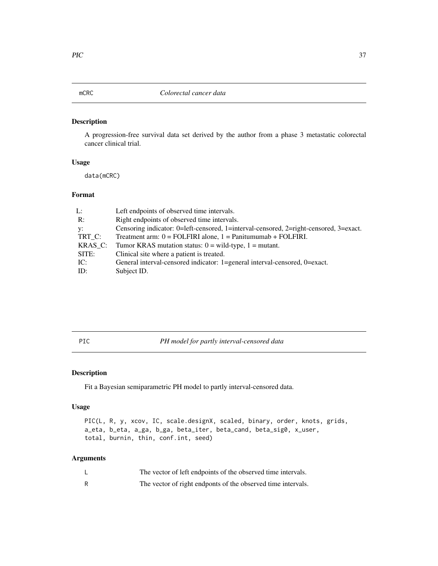# <span id="page-36-0"></span>Description

A progression-free survival data set derived by the author from a phase 3 metastatic colorectal cancer clinical trial.

#### Usage

data(mCRC)

#### Format

| L:         | Left endpoints of observed time intervals.                                             |
|------------|----------------------------------------------------------------------------------------|
| R:         | Right endpoints of observed time intervals.                                            |
| у:         | Censoring indicator: 0=left-censored, 1=interval-censored, 2=right-censored, 3=exact.  |
| TRT_C:     | Treatment arm: $0 = \text{FOLFIRI}$ alone, $1 = \text{Panitumumab} + \text{FOLFIRI}$ . |
| $KRAS_C$ : | Tumor KRAS mutation status: $0 = \text{wild-type}, 1 = \text{mutant}.$                 |
| SITE:      | Clinical site where a patient is treated.                                              |
| IC:        | General interval-censored indicator: 1=general interval-censored, 0=exact.             |
| ID:        | Subject ID.                                                                            |

PIC *PH model for partly interval-censored data*

# Description

Fit a Bayesian semiparametric PH model to partly interval-censored data.

#### Usage

```
PIC(L, R, y, xcov, IC, scale.designX, scaled, binary, order, knots, grids,
a_eta, b_eta, a_ga, b_ga, beta_iter, beta_cand, beta_sig0, x_user,
total, burnin, thin, conf.int, seed)
```

| The vector of left endpoints of the observed time intervals. |
|--------------------------------------------------------------|
| The vector of right endponts of the observed time intervals. |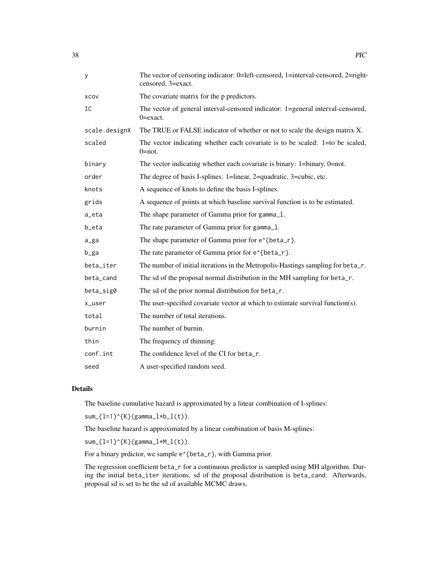| у                  | The vector of censoring indicator: 0=left-censored, 1=interval-censored, 2=right-<br>censored, 3=exact. |
|--------------------|---------------------------------------------------------------------------------------------------------|
| XCOV               | The covariate matrix for the p predictors.                                                              |
| IC                 | The vector of general interval-censored indicator: 1=general interval-censored,<br>$0 = exact.$         |
| scale.designX      | The TRUE or FALSE indicator of whether or not to scale the design matrix X.                             |
| scaled             | The vector indicating whether each covariate is to be scaled: 1=to be scaled,<br>$0 = not$ .            |
| binary             | The vector indicating whether each covariate is binary: 1=binary, 0=not.                                |
| order              | The degree of basis I-splines: 1=linear, 2=quadratic, 3=cubic, etc.                                     |
| knots              | A sequence of knots to define the basis I-splines.                                                      |
| grids              | A sequence of points at which baseline survival function is to be estimated.                            |
| $a$ <sub>eta</sub> | The shape parameter of Gamma prior for gamma_1.                                                         |
| b_eta              | The rate parameter of Gamma prior for gamma_1.                                                          |
| $a_{g}$ a          | The shape parameter of Gamma prior for e <sup><math>\lambda</math></sup> {beta_r}.                      |
| b_ga               | The rate parameter of Gamma prior for e <sup><math>\lambda</math></sup> {beta_r}.                       |
| beta_iter          | The number of initial iterations in the Metropolis-Hastings sampling for beta_r.                        |
| beta_cand          | The sd of the proposal normal distribution in the MH sampling for beta_r.                               |
| beta_sig0          | The sd of the prior normal distribution for beta_r.                                                     |
| x_user             | The user-specified covariate vector at which to estimate survival function(s).                          |
| total              | The number of total iterations.                                                                         |
| burnin             | The number of burnin.                                                                                   |
| thin               | The frequency of thinning.                                                                              |
| conf.int           | The confidence level of the CI for beta_r.                                                              |
| seed               | A user-specified random seed.                                                                           |

The baseline cumulative hazard is approximated by a linear combination of I-splines:

 $sum_{1=1}^{n}$  sum<sub>-</sub>{l=1}^{K}(gamma\_l\*b\_l(t)).

The baseline hazard is approximated by a linear combination of basis M-splines:

 $sum_{1=1}^{n}$  sum<sub>-</sub>{l=1}^{K}(gamma\_l\*M\_l(t)).

For a binary prdictor, we sample e^{beta\_r}, with Gamma prior.

The regression coefficient beta\_r for a continuous predictor is sampled using MH algorithm. During the initial beta\_iter iterations, sd of the proposal distribution is beta\_cand. Afterwards, proposal sd is set to be the sd of available MCMC draws.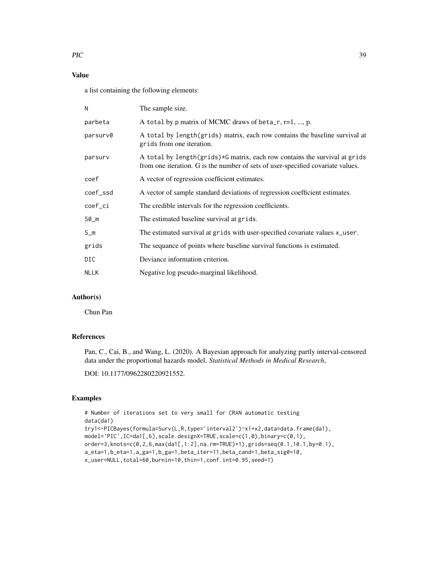# Value

a list containing the following elements:

| N           | The sample size.                                                                                                                                              |
|-------------|---------------------------------------------------------------------------------------------------------------------------------------------------------------|
| parbeta     | A total by p matrix of MCMC draws of beta_r, $r=1, , p$ .                                                                                                     |
| parsurv0    | A total by length (grids) matrix, each row contains the baseline survival at<br>grids from one iteration.                                                     |
| parsurv     | A total by length(grids)*G matrix, each row contains the survival at grids<br>from one iteration. G is the number of sets of user-specified covariate values. |
| coef        | A vector of regression coefficient estimates.                                                                                                                 |
| coef_ssd    | A vector of sample standard deviations of regression coefficient estimates.                                                                                   |
| coef_ci     | The credible intervals for the regression coefficients.                                                                                                       |
| $SØ_m$      | The estimated baseline survival at grids.                                                                                                                     |
| $S_m$       | The estimated survival at grids with user-specified covariate values x_user.                                                                                  |
| grids       | The sequance of points where baseline survival functions is estimated.                                                                                        |
| DIC         | Deviance information criterion.                                                                                                                               |
| <b>NLLK</b> | Negative log pseudo-marginal likelihood.                                                                                                                      |
|             |                                                                                                                                                               |

# Author(s)

Chun Pan

# References

Pan, C., Cai, B., and Wang, L. (2020). A Bayesian approach for analyzing partly interval-censored data under the proportional hazards model. *Statistical Methods in Medical Research*,

DOI: 10.1177/0962280220921552.

#### Examples

```
# Number of iterations set to very small for CRAN automatic testing
data(da1)
try1<-PICBayes(formula=Surv(L,R,type='interval2')~x1+x2,data=data.frame(da1),
model='PIC',IC=da1[,6],scale.designX=TRUE,scale=c(1,0),binary=c(0,1),
order=3,knots=c(0,2,6,max(da1[,1:2],na.rm=TRUE)+1),grids=seq(0.1,10.1,by=0.1),
a_eta=1,b_eta=1,a_ga=1,b_ga=1,beta_iter=11,beta_cand=1,beta_sig0=10,
x_user=NULL,total=60,burnin=10,thin=1,conf.int=0.95,seed=1)
```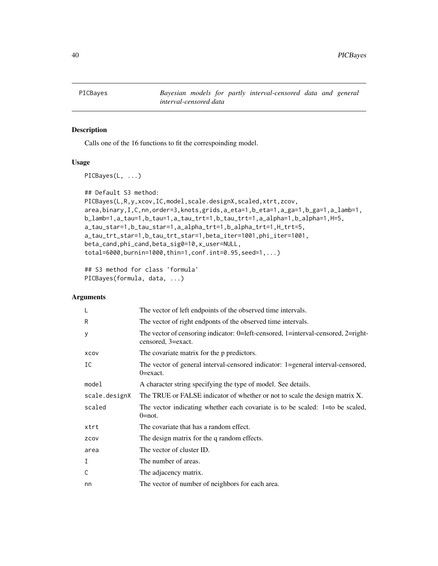<span id="page-39-1"></span><span id="page-39-0"></span>PICBayes *Bayesian models for partly interval-censored data and general interval-censored data*

# Description

Calls one of the 16 functions to fit the correspoinding model.

#### Usage

```
PICBayes(L, ...)
```

```
## Default S3 method:
PICBayes(L,R,y,xcov,IC,model,scale.designX,scaled,xtrt,zcov,
area,binary,I,C,nn,order=3,knots,grids,a_eta=1,b_eta=1,a_ga=1,b_ga=1,a_lamb=1,
b_lamb=1,a_tau=1,b_tau=1,a_tau_trt=1,b_tau_trt=1,a_alpha=1,b_alpha=1,H=5,
a_tau_star=1,b_tau_star=1,a_alpha_trt=1,b_alpha_trt=1,H_trt=5,
a_tau_trt_star=1,b_tau_trt_star=1,beta_iter=1001,phi_iter=1001,
beta_cand,phi_cand,beta_sig0=10,x_user=NULL,
total=6000,burnin=1000,thin=1,conf.int=0.95,seed=1,...)
```

```
## S3 method for class 'formula'
PICBayes(formula, data, ...)
```

| L             | The vector of left endpoints of the observed time intervals.                                            |
|---------------|---------------------------------------------------------------------------------------------------------|
| R             | The vector of right endponts of the observed time intervals.                                            |
| У             | The vector of censoring indicator: 0=left-censored, 1=interval-censored, 2=right-<br>censored, 3=exact. |
| XCOV          | The covariate matrix for the p predictors.                                                              |
| IC            | The vector of general interval-censored indicator: 1=general interval-censored,<br>$0 = exact.$         |
| model         | A character string specifying the type of model. See details.                                           |
| scale.designX | The TRUE or FALSE indicator of whether or not to scale the design matrix X.                             |
| scaled        | The vector indicating whether each covariate is to be scaled: 1=to be scaled,<br>$0 = not.$             |
| xtrt          | The covariate that has a random effect.                                                                 |
| ZCOV          | The design matrix for the q random effects.                                                             |
| area          | The vector of cluster ID.                                                                               |
| I             | The number of areas.                                                                                    |
| C             | The adjacency matrix.                                                                                   |
| nn            | The vector of number of neighbors for each area.                                                        |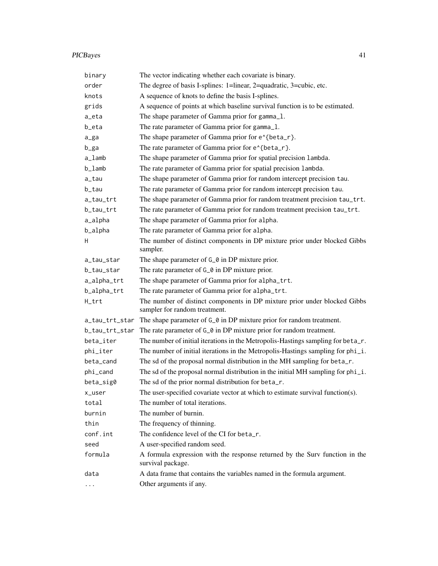# PICBayes 41

| binary                           | The vector indicating whether each covariate is binary.                                                    |
|----------------------------------|------------------------------------------------------------------------------------------------------------|
| order                            | The degree of basis I-splines: 1=linear, 2=quadratic, 3=cubic, etc.                                        |
| knots                            | A sequence of knots to define the basis I-splines.                                                         |
| grids                            | A sequence of points at which baseline survival function is to be estimated.                               |
| a_eta                            | The shape parameter of Gamma prior for gamma_1.                                                            |
| b_eta                            | The rate parameter of Gamma prior for gamma_1.                                                             |
| a_ga                             | The shape parameter of Gamma prior for e^{beta_r}.                                                         |
| b_ga                             | The rate parameter of Gamma prior for e^{beta_r}.                                                          |
| a_lamb                           | The shape parameter of Gamma prior for spatial precision lambda.                                           |
| b_lamb                           | The rate parameter of Gamma prior for spatial precision lambda.                                            |
| a_tau                            | The shape parameter of Gamma prior for random intercept precision tau.                                     |
| b_tau                            | The rate parameter of Gamma prior for random intercept precision tau.                                      |
| a_tau_trt                        | The shape parameter of Gamma prior for random treatment precision tau_trt.                                 |
| b_tau_trt                        | The rate parameter of Gamma prior for random treatment precision tau_trt.                                  |
| a_alpha                          | The shape parameter of Gamma prior for alpha.                                                              |
| b_alpha                          | The rate parameter of Gamma prior for alpha.                                                               |
| Н                                | The number of distinct components in DP mixture prior under blocked Gibbs<br>sampler.                      |
| a_tau_star                       | The shape parameter of G_0 in DP mixture prior.                                                            |
| b_tau_star                       | The rate parameter of G <sub>_0</sub> in DP mixture prior.                                                 |
| a_alpha_trt                      | The shape parameter of Gamma prior for alpha_trt.                                                          |
| b_alpha_trt                      | The rate parameter of Gamma prior for alpha_trt.                                                           |
| H_trt                            | The number of distinct components in DP mixture prior under blocked Gibbs<br>sampler for random treatment. |
| a_tau_trt_star                   | The shape parameter of G_0 in DP mixture prior for random treatment.                                       |
| b_tau_trt_star                   | The rate parameter of $G_0$ in DP mixture prior for random treatment.                                      |
| beta_iter                        | The number of initial iterations in the Metropolis-Hastings sampling for beta_r.                           |
| phi_iter                         | The number of initial iterations in the Metropolis-Hastings sampling for phi_i.                            |
| beta_cand                        | The sd of the proposal normal distribution in the MH sampling for beta_r.                                  |
| phi_cand                         | The sd of the proposal normal distribution in the initial MH sampling for phi_i.                           |
| beta_sig0                        | The sd of the prior normal distribution for beta_r.                                                        |
| x_user                           | The user-specified covariate vector at which to estimate survival function(s).                             |
| total                            | The number of total iterations.                                                                            |
| burnin                           | The number of burnin.                                                                                      |
| thin                             | The frequency of thinning.                                                                                 |
| conf.int                         | The confidence level of the CI for beta_r.                                                                 |
| seed                             | A user-specified random seed.                                                                              |
| formula                          | A formula expression with the response returned by the Surv function in the<br>survival package.           |
| data                             | A data frame that contains the variables named in the formula argument.                                    |
| $\bullet$ .<br><br><br>$\bullet$ | Other arguments if any.                                                                                    |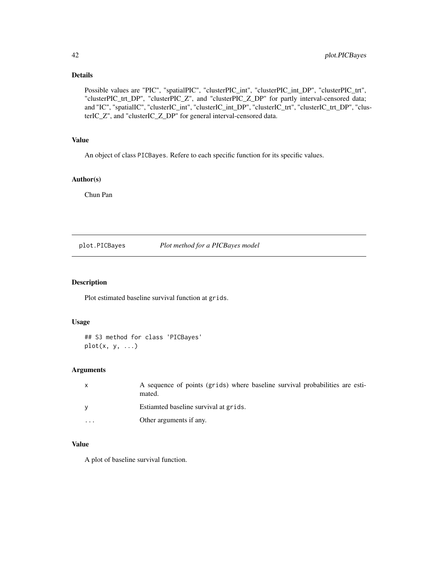Possible values are "PIC", "spatialPIC", "clusterPIC\_int", "clusterPIC\_int\_DP", "clusterPIC\_trt", "clusterPIC\_trt\_DP", "clusterPIC\_Z", and "clusterPIC\_Z\_DP" for partly interval-censored data; and "IC", "spatialIC", "clusterIC\_int", "clusterIC\_int\_DP", "clusterIC\_trt", "clusterIC\_trt\_DP", "clusterIC\_Z", and "clusterIC\_Z\_DP" for general interval-censored data.

# Value

An object of class PICBayes. Refere to each specific function for its specific values.

#### Author(s)

Chun Pan

#### plot.PICBayes *Plot method for a PICBayes model*

# Description

Plot estimated baseline survival function at grids.

#### Usage

## S3 method for class 'PICBayes' plot(x, y, ...)

#### Arguments

| $\mathsf{x}$            | A sequence of points (grids) where baseline survival probabilities are esti-<br>mated. |
|-------------------------|----------------------------------------------------------------------------------------|
| <b>V</b>                | Estiamted baseline survival at grids.                                                  |
| $\cdot$ $\cdot$ $\cdot$ | Other arguments if any.                                                                |

# Value

A plot of baseline survival function.

<span id="page-41-0"></span>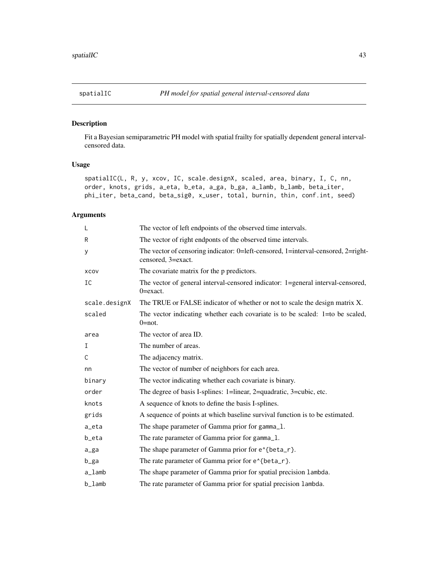<span id="page-42-0"></span>

# Description

Fit a Bayesian semiparametric PH model with spatial frailty for spatially dependent general intervalcensored data.

# Usage

```
spatialIC(L, R, y, xcov, IC, scale.designX, scaled, area, binary, I, C, nn,
order, knots, grids, a_eta, b_eta, a_ga, b_ga, a_lamb, b_lamb, beta_iter,
phi_iter, beta_cand, beta_sig0, x_user, total, burnin, thin, conf.int, seed)
```

| L                                 | The vector of left endpoints of the observed time intervals.                                            |
|-----------------------------------|---------------------------------------------------------------------------------------------------------|
| R                                 | The vector of right endponts of the observed time intervals.                                            |
| у                                 | The vector of censoring indicator: 0=left-censored, 1=interval-censored, 2=right-<br>censored, 3=exact. |
| XCOV                              | The covariate matrix for the p predictors.                                                              |
| IC                                | The vector of general interval-censored indicator: 1=general interval-censored,<br>$0 = exact.$         |
| scale.designX                     | The TRUE or FALSE indicator of whether or not to scale the design matrix X.                             |
| scaled                            | The vector indicating whether each covariate is to be scaled: $1=$ to be scaled,<br>$0 = not.$          |
| area                              | The vector of area ID.                                                                                  |
| $\mathbf I$                       | The number of areas.                                                                                    |
| C                                 | The adjacency matrix.                                                                                   |
| nn                                | The vector of number of neighbors for each area.                                                        |
| binary                            | The vector indicating whether each covariate is binary.                                                 |
| order                             | The degree of basis I-splines: 1=linear, 2=quadratic, 3=cubic, etc.                                     |
| knots                             | A sequence of knots to define the basis I-splines.                                                      |
| grids                             | A sequence of points at which baseline survival function is to be estimated.                            |
| a_eta                             | The shape parameter of Gamma prior for gamma_1.                                                         |
| b_eta                             | The rate parameter of Gamma prior for gamma_1.                                                          |
| a_ga                              | The shape parameter of Gamma prior for e <sup><math>\lambda</math></sup> {beta_r}.                      |
| b_ga                              | The rate parameter of Gamma prior for e^{beta_r}.                                                       |
| $a$ <sub><math>-</math>lamb</sub> | The shape parameter of Gamma prior for spatial precision lambda.                                        |
| b_lamb                            | The rate parameter of Gamma prior for spatial precision lambda.                                         |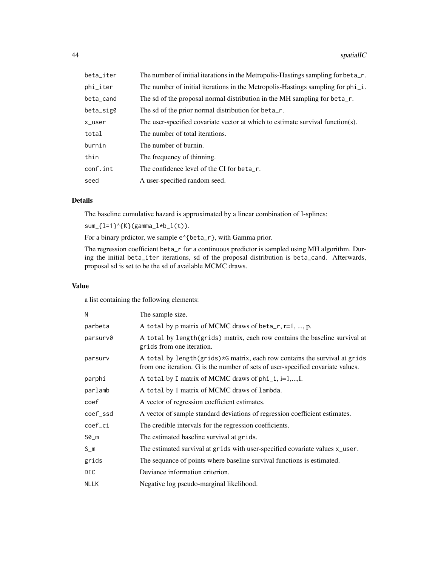| beta_iter | The number of initial iterations in the Metropolis-Hastings sampling for beta_r. |
|-----------|----------------------------------------------------------------------------------|
| phi_iter  | The number of initial iterations in the Metropolis-Hastings sampling for phi_i.  |
| beta_cand | The sd of the proposal normal distribution in the MH sampling for beta_r.        |
| beta_sig0 | The sd of the prior normal distribution for beta_r.                              |
| x_user    | The user-specified covariate vector at which to estimate survival function(s).   |
| total     | The number of total iterations.                                                  |
| burnin    | The number of burnin.                                                            |
| thin      | The frequency of thinning.                                                       |
| conf.int  | The confidence level of the CI for beta_r.                                       |
| seed      | A user-specified random seed.                                                    |
|           |                                                                                  |

The baseline cumulative hazard is approximated by a linear combination of I-splines:

 $sum_{1=1}^{n}$  sum\_{l=1}^{K}(gamma\_l\*b\_l(t)).

For a binary prdictor, we sample  $e^{\lambda}$ {beta\_r}, with Gamma prior.

The regression coefficient beta\_r for a continuous predictor is sampled using MH algorithm. During the initial beta\_iter iterations, sd of the proposal distribution is beta\_cand. Afterwards, proposal sd is set to be the sd of available MCMC draws.

#### Value

a list containing the following elements:

| N           | The sample size.                                                                                                                                              |
|-------------|---------------------------------------------------------------------------------------------------------------------------------------------------------------|
| parbeta     | A total by p matrix of MCMC draws of beta_r, $r=1$ , , p.                                                                                                     |
| parsurv0    | A total by length(grids) matrix, each row contains the baseline survival at<br>grids from one iteration.                                                      |
| parsurv     | A total by length(grids)*G matrix, each row contains the survival at grids<br>from one iteration. G is the number of sets of user-specified covariate values. |
| parphi      | A total by I matrix of MCMC draws of $phi_i$ , i=1,,I.                                                                                                        |
| parlamb     | A total by 1 matrix of MCMC draws of lambda.                                                                                                                  |
| coef        | A vector of regression coefficient estimates.                                                                                                                 |
| coef_ssd    | A vector of sample standard deviations of regression coefficient estimates.                                                                                   |
| coef_ci     | The credible intervals for the regression coefficients.                                                                                                       |
| $SØ_m$      | The estimated baseline survival at grids.                                                                                                                     |
| $S_m$       | The estimated survival at grids with user-specified covariate values x_user.                                                                                  |
| grids       | The sequance of points where baseline survival functions is estimated.                                                                                        |
| DIC.        | Deviance information criterion.                                                                                                                               |
| <b>NLLK</b> | Negative log pseudo-marginal likelihood.                                                                                                                      |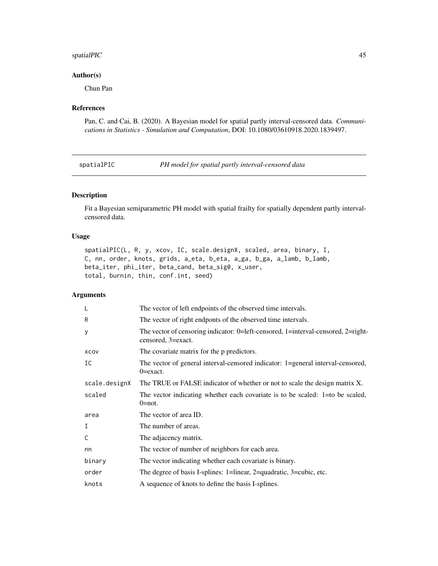# <span id="page-44-0"></span>spatialPIC 45

#### Author(s)

Chun Pan

# References

Pan, C. and Cai, B. (2020). A Bayesian model for spatial partly interval-censored data. *Communications in Statistics - Simulation and Computation*, DOI: 10.1080/03610918.2020.1839497.

spatialPIC *PH model for spatial partly interval-censored data*

# Description

Fit a Bayesian semiparametric PH model with spatial frailty for spatially dependent partly intervalcensored data.

# Usage

```
spatialPIC(L, R, y, xcov, IC, scale.designX, scaled, area, binary, I,
C, nn, order, knots, grids, a_eta, b_eta, a_ga, b_ga, a_lamb, b_lamb,
beta_iter, phi_iter, beta_cand, beta_sig0, x_user,
total, burnin, thin, conf.int, seed)
```

|               | The vector of left endpoints of the observed time intervals.                                            |
|---------------|---------------------------------------------------------------------------------------------------------|
| R             | The vector of right endponts of the observed time intervals.                                            |
| У             | The vector of censoring indicator: 0=left-censored, 1=interval-censored, 2=right-<br>censored, 3=exact. |
| XCOV          | The covariate matrix for the p predictors.                                                              |
| IC            | The vector of general interval-censored indicator: 1=general interval-censored,<br>$0 = exact.$         |
| scale.designX | The TRUE or FALSE indicator of whether or not to scale the design matrix X.                             |
| scaled        | The vector indicating whether each covariate is to be scaled: 1=to be scaled,<br>$0 = not.$             |
| area          | The vector of area ID.                                                                                  |
| I             | The number of areas.                                                                                    |
| C             | The adjacency matrix.                                                                                   |
| nn            | The vector of number of neighbors for each area.                                                        |
| binary        | The vector indicating whether each covariate is binary.                                                 |
| order         | The degree of basis I-splines: 1=linear, 2=quadratic, 3=cubic, etc.                                     |
| knots         | A sequence of knots to define the basis I-splines.                                                      |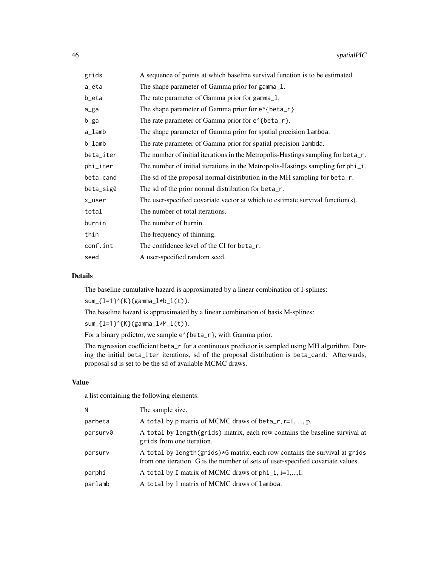| grids     | A sequence of points at which baseline survival function is to be estimated.      |
|-----------|-----------------------------------------------------------------------------------|
| a_eta     | The shape parameter of Gamma prior for gamma_1.                                   |
| b_eta     | The rate parameter of Gamma prior for gamma_1.                                    |
| a_ga      | The shape parameter of Gamma prior for $e^{\lambda}$ {beta_r}.                    |
| b_ga      | The rate parameter of Gamma prior for e <sup><math>\lambda</math></sup> {beta_r}. |
| a_lamb    | The shape parameter of Gamma prior for spatial precision lambda.                  |
| b_lamb    | The rate parameter of Gamma prior for spatial precision lambda.                   |
| beta_iter | The number of initial iterations in the Metropolis-Hastings sampling for beta_r.  |
| phi_iter  | The number of initial iterations in the Metropolis-Hastings sampling for phi_i.   |
| beta_cand | The sd of the proposal normal distribution in the MH sampling for beta_r.         |
| beta_sig0 | The sd of the prior normal distribution for beta_r.                               |
| x_user    | The user-specified covariate vector at which to estimate survival function(s).    |
| total     | The number of total iterations.                                                   |
| burnin    | The number of burnin.                                                             |
| thin      | The frequency of thinning.                                                        |
| conf.int  | The confidence level of the CI for beta_r.                                        |
| seed      | A user-specified random seed.                                                     |
|           |                                                                                   |

The baseline cumulative hazard is approximated by a linear combination of I-splines:

 $sum_{1=1}^{n}$  (K}(gamma\_l\*b\_l(t)).

The baseline hazard is approximated by a linear combination of basis M-splines:

 $sum_{1=1}^{n}$  sum<sub>-</sub>{l=1}^{K}(gamma\_l\*M\_l(t)).

For a binary prdictor, we sample  $e^{A}$ {beta\_r}, with Gamma prior.

The regression coefficient beta\_r for a continuous predictor is sampled using MH algorithm. During the initial beta\_iter iterations, sd of the proposal distribution is beta\_cand. Afterwards, proposal sd is set to be the sd of available MCMC draws.

# Value

a list containing the following elements:

| N        | The sample size.                                                                                                                                                |
|----------|-----------------------------------------------------------------------------------------------------------------------------------------------------------------|
| parbeta  | A total by p matrix of MCMC draws of beta_r, r=1, , p.                                                                                                          |
| parsurv0 | A total by length(grids) matrix, each row contains the baseline survival at<br>grids from one iteration.                                                        |
| parsurv  | A total by length (grids) *G matrix, each row contains the survival at grids<br>from one iteration. G is the number of sets of user-specified covariate values. |
| parphi   | A total by I matrix of MCMC draws of $phi_i$ , i=1,,I.                                                                                                          |
| parlamb  | A total by 1 matrix of MCMC draws of lambda.                                                                                                                    |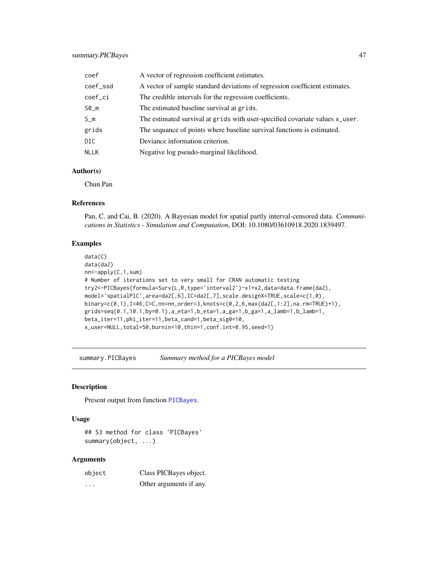<span id="page-46-0"></span>

| coef        | A vector of regression coefficient estimates.                                |
|-------------|------------------------------------------------------------------------------|
| coef_ssd    | A vector of sample standard deviations of regression coefficient estimates.  |
| coef_ci     | The credible intervals for the regression coefficients.                      |
| $SØ_m$      | The estimated baseline survival at grids.                                    |
| $S_m$       | The estimated survival at grids with user-specified covariate values x_user. |
| grids       | The sequance of points where baseline survival functions is estimated.       |
| DIC.        | Deviance information criterion.                                              |
| <b>NLLK</b> | Negative log pseudo-marginal likelihood.                                     |

# Author(s)

Chun Pan

#### References

Pan, C. and Cai, B. (2020). A Bayesian model for spatial partly interval-censored data. *Communications in Statistics - Simulation and Computation*, DOI: 10.1080/03610918.2020.1839497.

# Examples

```
data(C)
data(da2)
nn<-apply(C,1,sum)
# Number of iterations set to very small for CRAN automatic testing
try2<-PICBayes(formula=Surv(L,R,type='interval2')~x1+x2,data=data.frame(da2),
model='spatialPIC',area=da2[,6],IC=da2[,7],scale.designX=TRUE,scale=c(1,0),
binary=c(0,1),I=46,C=C,nn=nn,order=3,knots=c(0,2,6,max(da2[,1:2],na.rm=TRUE)+1),
grids=seq(0.1,10.1,by=0.1),a_eta=1,b_eta=1,a_ga=1,b_ga=1,a_lamb=1,b_lamb=1,
beta_iter=11,phi_iter=11,beta_cand=1,beta_sig0=10,
x_user=NULL,total=50,burnin=10,thin=1,conf.int=0.95,seed=1)
```
summary.PICBayes *Summary method for a PICBayes model*

#### Description

Present output from function [PICBayes](#page-39-1).

#### Usage

## S3 method for class 'PICBayes' summary(object, ...)

| object  | Class PICBayes object.  |
|---------|-------------------------|
| $\cdot$ | Other arguments if any. |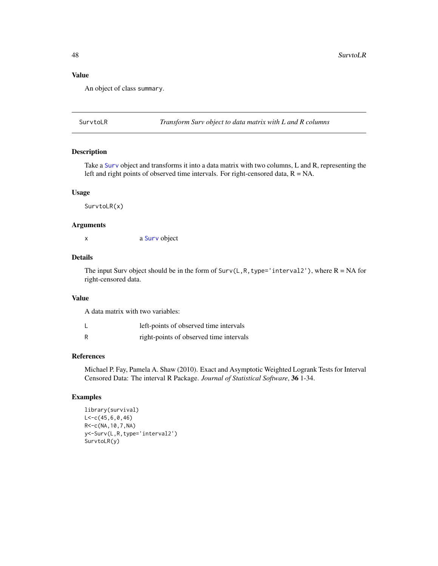#### Value

An object of class summary.

SurvtoLR *Transform Surv object to data matrix with L and R columns*

#### Description

Take a [Surv](#page-0-0) object and transforms it into a data matrix with two columns, L and R, representing the left and right points of observed time intervals. For right-censored data,  $R = NA$ .

#### Usage

SurvtoLR(x)

# Arguments

x a [Surv](#page-0-0) object

#### Details

The input Surv object should be in the form of Surv(L,R, type='interval2'), where  $R = NA$  for right-censored data.

#### Value

A data matrix with two variables:

| left-points of observed time intervals |
|----------------------------------------|
|                                        |

R right-points of observed time intervals

#### References

Michael P. Fay, Pamela A. Shaw (2010). Exact and Asymptotic Weighted Logrank Tests for Interval Censored Data: The interval R Package. *Journal of Statistical Software*, 36 1-34.

# Examples

```
library(survival)
L < -c(45, 6, 0, 46)R<-c(NA,10,7,NA)
y<-Surv(L,R,type='interval2')
SurvtoLR(y)
```
<span id="page-47-0"></span>